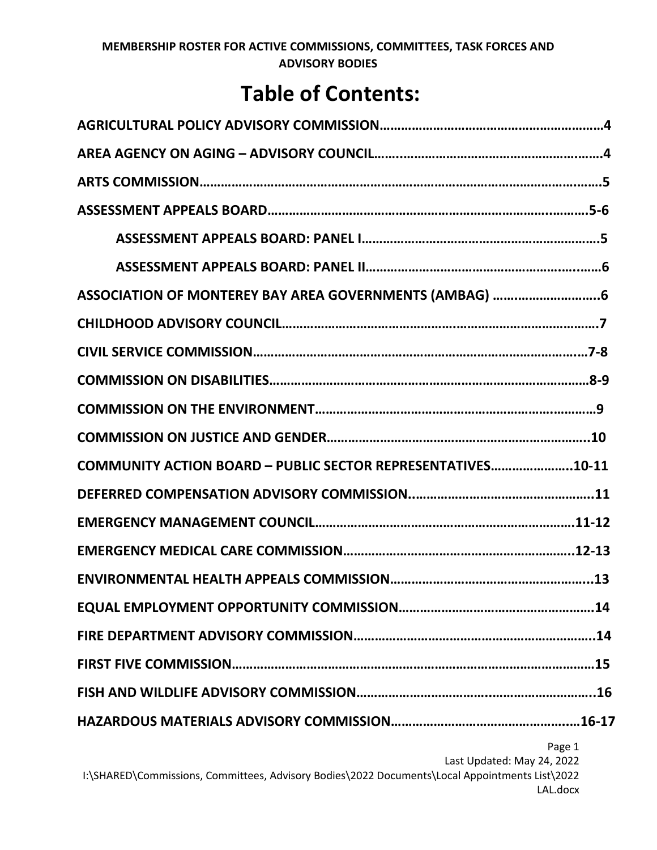# **Table of Contents:**

| COMMUNITY ACTION BOARD - PUBLIC SECTOR REPRESENTATIVES10-11 |
|-------------------------------------------------------------|
|                                                             |
|                                                             |
|                                                             |
|                                                             |
|                                                             |
|                                                             |
|                                                             |
|                                                             |
|                                                             |
| Page 1<br>Last Updated: May 24, 2022                        |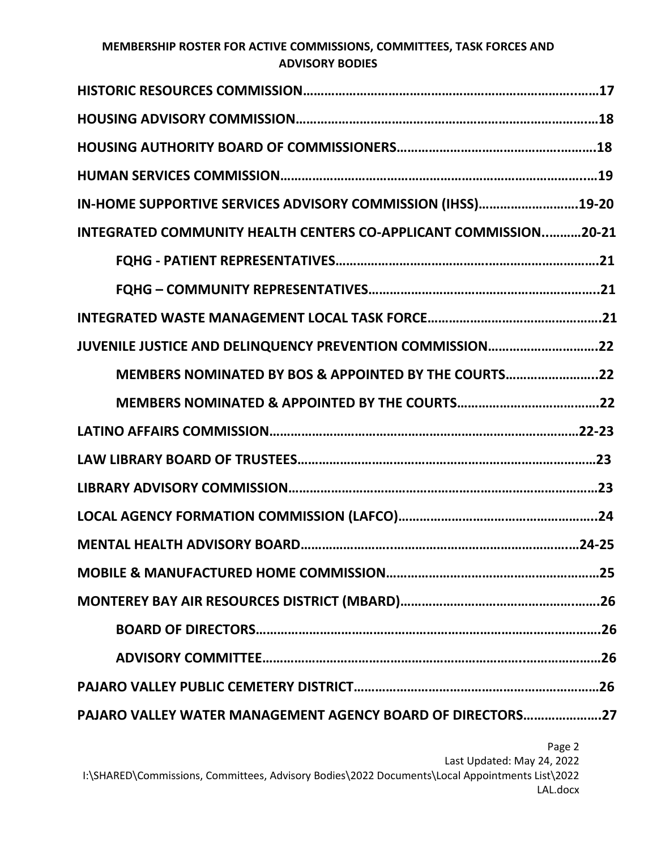| IN-HOME SUPPORTIVE SERVICES ADVISORY COMMISSION (IHSS)19-20      |
|------------------------------------------------------------------|
| INTEGRATED COMMUNITY HEALTH CENTERS CO-APPLICANT COMMISSION20-21 |
|                                                                  |
|                                                                  |
|                                                                  |
| JUVENILE JUSTICE AND DELINQUENCY PREVENTION COMMISSION22         |
| MEMBERS NOMINATED BY BOS & APPOINTED BY THE COURTS22             |
|                                                                  |
|                                                                  |
|                                                                  |
|                                                                  |
|                                                                  |
|                                                                  |
|                                                                  |
|                                                                  |
|                                                                  |
|                                                                  |
|                                                                  |
|                                                                  |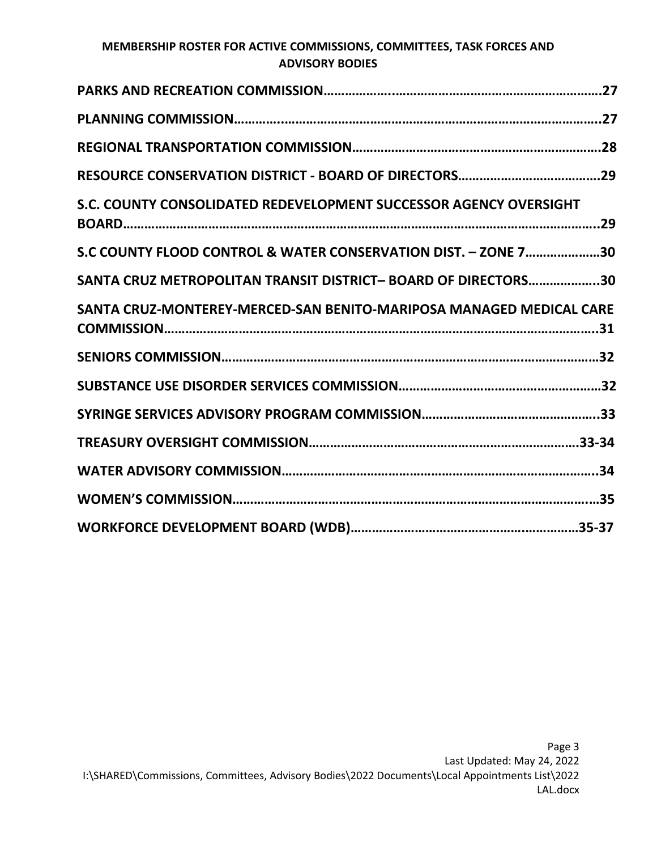| S.C. COUNTY CONSOLIDATED REDEVELOPMENT SUCCESSOR AGENCY OVERSIGHT   |  |
|---------------------------------------------------------------------|--|
| S.C COUNTY FLOOD CONTROL & WATER CONSERVATION DIST. - ZONE 730      |  |
| SANTA CRUZ METROPOLITAN TRANSIT DISTRICT- BOARD OF DIRECTORS30      |  |
| SANTA CRUZ-MONTEREY-MERCED-SAN BENITO-MARIPOSA MANAGED MEDICAL CARE |  |
|                                                                     |  |
|                                                                     |  |
|                                                                     |  |
|                                                                     |  |
|                                                                     |  |
|                                                                     |  |
|                                                                     |  |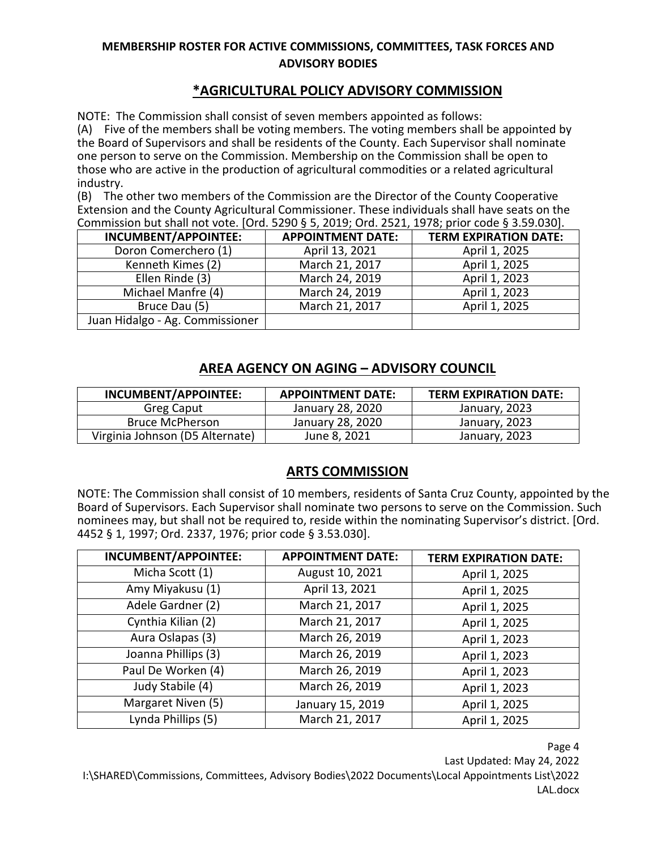# **\*AGRICULTURAL POLICY ADVISORY COMMISSION**

NOTE: The Commission shall consist of seven members appointed as follows:

(A) Five of the members shall be voting members. The voting members shall be appointed by the Board of Supervisors and shall be residents of the County. Each Supervisor shall nominate one person to serve on the Commission. Membership on the Commission shall be open to those who are active in the production of agricultural commodities or a related agricultural industry.

(B) The other two members of the Commission are the Director of the County Cooperative Extension and the County Agricultural Commissioner. These individuals shall have seats on the Commission but shall not vote. [Ord. 5290 § 5, 2019; Ord. 2521, 1978; prior code § 3.59.030].

| <b>INCUMBENT/APPOINTEE:</b>     | <b>APPOINTMENT DATE:</b> | <b>TERM EXPIRATION DATE:</b> |
|---------------------------------|--------------------------|------------------------------|
| Doron Comerchero (1)            | April 13, 2021           | April 1, 2025                |
| Kenneth Kimes (2)               | March 21, 2017           | April 1, 2025                |
| Ellen Rinde (3)                 | March 24, 2019           | April 1, 2023                |
| Michael Manfre (4)              | March 24, 2019           | April 1, 2023                |
| Bruce Dau (5)                   | March 21, 2017           | April 1, 2025                |
| Juan Hidalgo - Ag. Commissioner |                          |                              |

# **AREA AGENCY ON AGING – ADVISORY COUNCIL**

| INCUMBENT/APPOINTEE:            | <b>APPOINTMENT DATE:</b> | <b>TERM EXPIRATION DATE:</b> |
|---------------------------------|--------------------------|------------------------------|
| Greg Caput                      | January 28, 2020         | January, 2023                |
| <b>Bruce McPherson</b>          | January 28, 2020         | January, 2023                |
| Virginia Johnson (D5 Alternate) | June 8, 2021             | January, 2023                |

#### **ARTS COMMISSION**

NOTE: The Commission shall consist of 10 members, residents of Santa Cruz County, appointed by the Board of Supervisors. Each Supervisor shall nominate two persons to serve on the Commission. Such nominees may, but shall not be required to, reside within the nominating Supervisor's district. [Ord. 4452 § 1, 1997; Ord. 2337, 1976; prior code § 3.53.030].

| INCUMBENT/APPOINTEE: | <b>APPOINTMENT DATE:</b> | <b>TERM EXPIRATION DATE:</b> |
|----------------------|--------------------------|------------------------------|
| Micha Scott (1)      | August 10, 2021          | April 1, 2025                |
| Amy Miyakusu (1)     | April 13, 2021           | April 1, 2025                |
| Adele Gardner (2)    | March 21, 2017           | April 1, 2025                |
| Cynthia Kilian (2)   | March 21, 2017           | April 1, 2025                |
| Aura Oslapas (3)     | March 26, 2019           | April 1, 2023                |
| Joanna Phillips (3)  | March 26, 2019           | April 1, 2023                |
| Paul De Worken (4)   | March 26, 2019           | April 1, 2023                |
| Judy Stabile (4)     | March 26, 2019           | April 1, 2023                |
| Margaret Niven (5)   | January 15, 2019         | April 1, 2025                |
| Lynda Phillips (5)   | March 21, 2017           | April 1, 2025                |

Page 4

Last Updated: May 24, 2022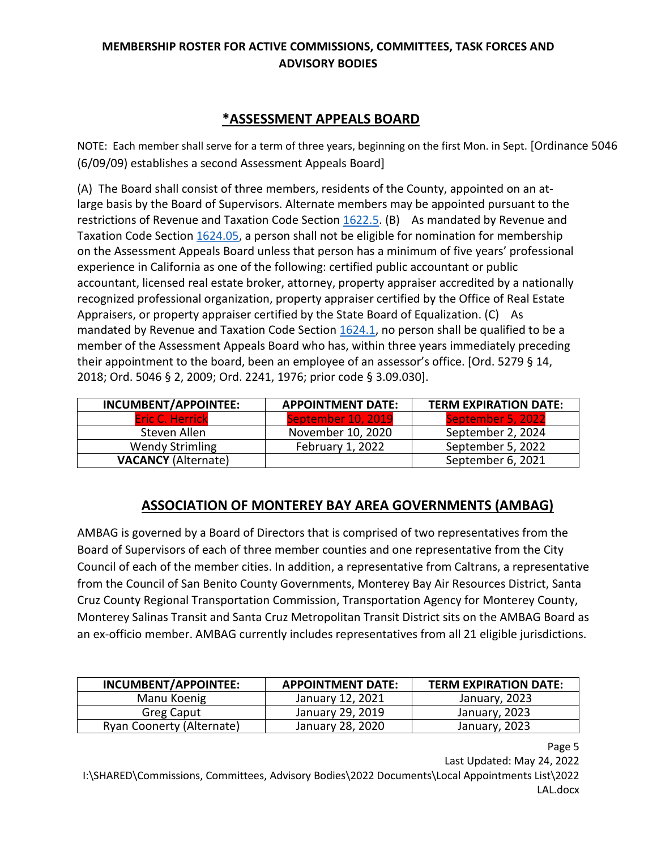# **\*ASSESSMENT APPEALS BOARD**

NOTE: Each member shall serve for a term of three years, beginning on the first Mon. in Sept. [Ordinance 5046 (6/09/09) establishes a second Assessment Appeals Board]

(A) The Board shall consist of three members, residents of the County, appointed on an atlarge basis by the Board of Supervisors. Alternate members may be appointed pursuant to the restrictions of Revenue and Taxation Code Section [1622.5.](http://leginfo.legislature.ca.gov/faces/codes_displaySection.xhtml?lawCode=RTC§ionNum=1622.5) (B) As mandated by Revenue and Taxation Code Section [1624.05,](http://leginfo.legislature.ca.gov/faces/codes_displaySection.xhtml?lawCode=RTC§ionNum=1624.05) a person shall not be eligible for nomination for membership on the Assessment Appeals Board unless that person has a minimum of five years' professional experience in California as one of the following: certified public accountant or public accountant, licensed real estate broker, attorney, property appraiser accredited by a nationally recognized professional organization, property appraiser certified by the Office of Real Estate Appraisers, or property appraiser certified by the State Board of Equalization. (C) As mandated by Revenue and Taxation Code Section [1624.1,](http://leginfo.legislature.ca.gov/faces/codes_displaySection.xhtml?lawCode=RTC§ionNum=1624.1) no person shall be qualified to be a member of the Assessment Appeals Board who has, within three years immediately preceding their appointment to the board, been an employee of an assessor's office. [Ord. 5279 § 14, 2018; Ord. 5046 § 2, 2009; Ord. 2241, 1976; prior code § 3.09.030].

| INCUMBENT/APPOINTEE:       | <b>APPOINTMENT DATE:</b> | <b>TERM EXPIRATION DATE:</b> |
|----------------------------|--------------------------|------------------------------|
| <b>Eric C. Herrick</b>     | September 10, 2019       | September 5, 2022            |
| Steven Allen               | November 10, 2020        | September 2, 2024            |
| <b>Wendy Strimling</b>     | February 1, 2022         | September 5, 2022            |
| <b>VACANCY (Alternate)</b> |                          | September 6, 2021            |

# **ASSOCIATION OF MONTEREY BAY AREA GOVERNMENTS (AMBAG)**

AMBAG is governed by a Board of Directors that is comprised of two representatives from the Board of Supervisors of each of three member counties and one representative from the City Council of each of the member cities. In addition, a representative from Caltrans, a representative from the Council of San Benito County Governments, Monterey Bay Air Resources District, Santa Cruz County Regional Transportation Commission, Transportation Agency for Monterey County, Monterey Salinas Transit and Santa Cruz Metropolitan Transit District sits on the AMBAG Board as an ex-officio member. AMBAG currently includes representatives from all 21 eligible jurisdictions.

| INCUMBENT/APPOINTEE:      | <b>APPOINTMENT DATE:</b> | <b>TERM EXPIRATION DATE:</b> |
|---------------------------|--------------------------|------------------------------|
| Manu Koenig               | January 12, 2021         | January, 2023                |
| Greg Caput                | January 29, 2019         | January, 2023                |
| Ryan Coonerty (Alternate) | January 28, 2020         | January, 2023                |

Page 5 Last Updated: May 24, 2022 I:\SHARED\Commissions, Committees, Advisory Bodies\2022 Documents\Local Appointments List\2022 LAL.docx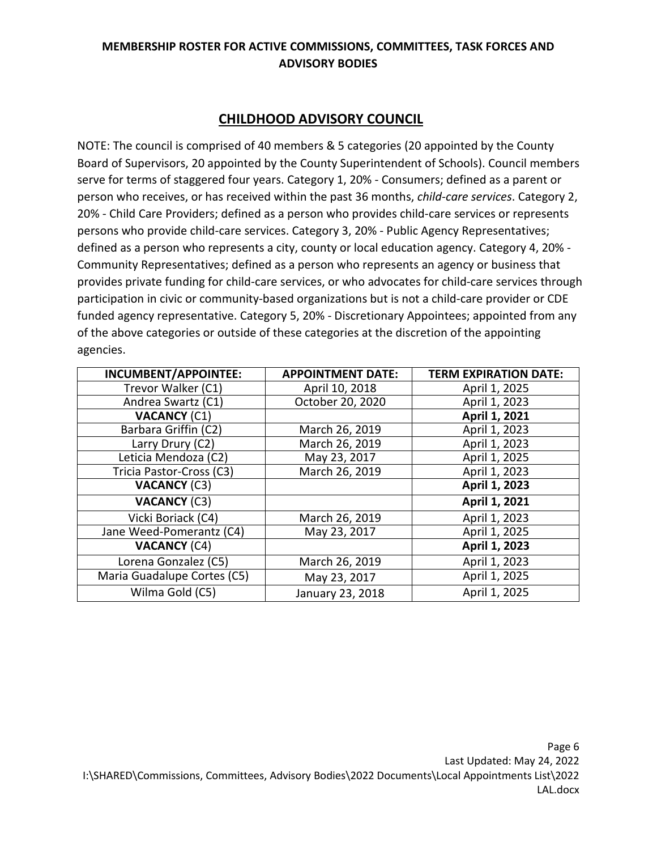# **CHILDHOOD ADVISORY COUNCIL**

NOTE: The council is comprised of 40 members & 5 categories (20 appointed by the County Board of Supervisors, 20 appointed by the County Superintendent of Schools). Council members serve for terms of staggered four years. Category 1, 20% - Consumers; defined as a parent or person who receives, or has received within the past 36 months, *child-care services*. Category 2, 20% - Child Care Providers; defined as a person who provides child-care services or represents persons who provide child-care services. Category 3, 20% - Public Agency Representatives; defined as a person who represents a city, county or local education agency. Category 4, 20% - Community Representatives; defined as a person who represents an agency or business that provides private funding for child-care services, or who advocates for child-care services through participation in civic or community-based organizations but is not a child-care provider or CDE funded agency representative. Category 5, 20% - Discretionary Appointees; appointed from any of the above categories or outside of these categories at the discretion of the appointing agencies.

| <b>INCUMBENT/APPOINTEE:</b> | <b>APPOINTMENT DATE:</b> | <b>TERM EXPIRATION DATE:</b> |
|-----------------------------|--------------------------|------------------------------|
| Trevor Walker (C1)          | April 10, 2018           | April 1, 2025                |
| Andrea Swartz (C1)          | October 20, 2020         | April 1, 2023                |
| <b>VACANCY (C1)</b>         |                          | April 1, 2021                |
| Barbara Griffin (C2)        | March 26, 2019           | April 1, 2023                |
| Larry Drury (C2)            | March 26, 2019           | April 1, 2023                |
| Leticia Mendoza (C2)        | May 23, 2017             | April 1, 2025                |
| Tricia Pastor-Cross (C3)    | March 26, 2019           | April 1, 2023                |
| <b>VACANCY (C3)</b>         |                          | April 1, 2023                |
| <b>VACANCY (C3)</b>         |                          | April 1, 2021                |
| Vicki Boriack (C4)          | March 26, 2019           | April 1, 2023                |
| Jane Weed-Pomerantz (C4)    | May 23, 2017             | April 1, 2025                |
| <b>VACANCY (C4)</b>         |                          | April 1, 2023                |
| Lorena Gonzalez (C5)        | March 26, 2019           | April 1, 2023                |
| Maria Guadalupe Cortes (C5) | May 23, 2017             | April 1, 2025                |
| Wilma Gold (C5)             | January 23, 2018         | April 1, 2025                |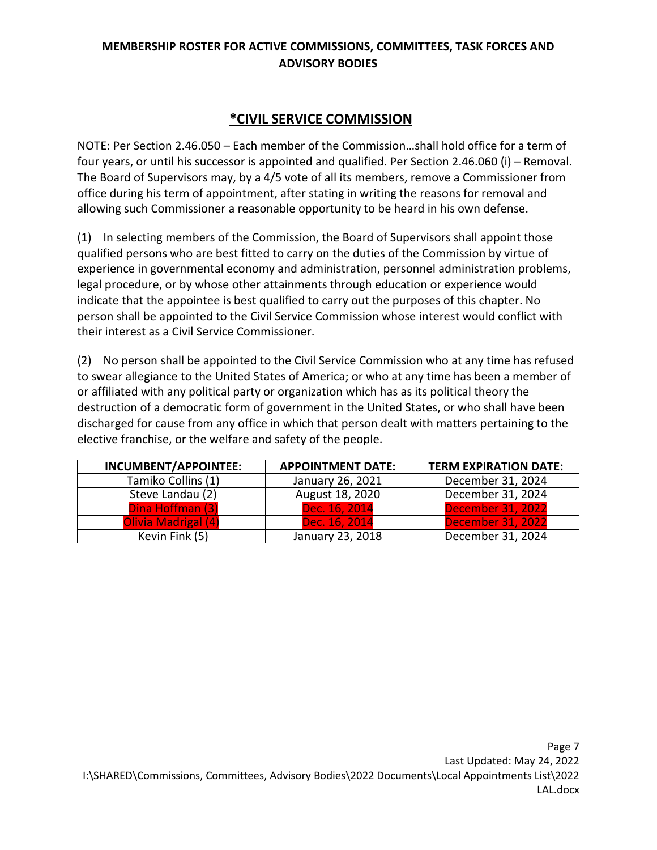# **\*CIVIL SERVICE COMMISSION**

NOTE: Per Section 2.46.050 – Each member of the Commission…shall hold office for a term of four years, or until his successor is appointed and qualified. Per Section 2.46.060 (i) – Removal. The Board of Supervisors may, by a 4/5 vote of all its members, remove a Commissioner from office during his term of appointment, after stating in writing the reasons for removal and allowing such Commissioner a reasonable opportunity to be heard in his own defense.

(1) In selecting members of the Commission, the Board of Supervisors shall appoint those qualified persons who are best fitted to carry on the duties of the Commission by virtue of experience in governmental economy and administration, personnel administration problems, legal procedure, or by whose other attainments through education or experience would indicate that the appointee is best qualified to carry out the purposes of this chapter. No person shall be appointed to the Civil Service Commission whose interest would conflict with their interest as a Civil Service Commissioner.

(2) No person shall be appointed to the Civil Service Commission who at any time has refused to swear allegiance to the United States of America; or who at any time has been a member of or affiliated with any political party or organization which has as its political theory the destruction of a democratic form of government in the United States, or who shall have been discharged for cause from any office in which that person dealt with matters pertaining to the elective franchise, or the welfare and safety of the people.

| INCUMBENT/APPOINTEE: | <b>APPOINTMENT DATE:</b> | <b>TERM EXPIRATION DATE:</b> |
|----------------------|--------------------------|------------------------------|
| Tamiko Collins (1)   | January 26, 2021         | December 31, 2024            |
| Steve Landau (2)     | August 18, 2020          | December 31, 2024            |
| Dina Hoffman (3)     | Dec. 16, 2014            | <b>December 31, 2022</b>     |
| Olivia Madrigal (4)  | Dec. 16, 2014            | <b>December 31, 2022</b>     |
| Kevin Fink (5)       | January 23, 2018         | December 31, 2024            |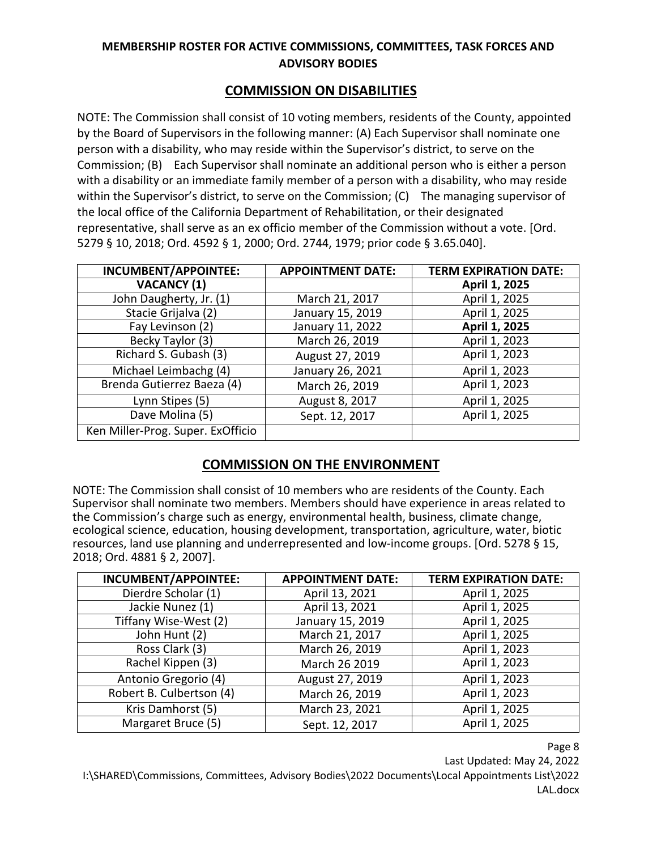# **COMMISSION ON DISABILITIES**

NOTE: The Commission shall consist of 10 voting members, residents of the County, appointed by the Board of Supervisors in the following manner: (A) Each Supervisor shall nominate one person with a disability, who may reside within the Supervisor's district, to serve on the Commission; (B) Each Supervisor shall nominate an additional person who is either a person with a disability or an immediate family member of a person with a disability, who may reside within the Supervisor's district, to serve on the Commission; (C) The managing supervisor of the local office of the California Department of Rehabilitation, or their designated representative, shall serve as an ex officio member of the Commission without a vote. [Ord. 5279 § 10, 2018; Ord. 4592 § 1, 2000; Ord. 2744, 1979; prior code § 3.65.040].

| INCUMBENT/APPOINTEE:              | <b>APPOINTMENT DATE:</b> | <b>TERM EXPIRATION DATE:</b> |
|-----------------------------------|--------------------------|------------------------------|
| <b>VACANCY (1)</b>                |                          | April 1, 2025                |
| John Daugherty, Jr. (1)           | March 21, 2017           | April 1, 2025                |
| Stacie Grijalva (2)               | January 15, 2019         | April 1, 2025                |
| Fay Levinson (2)                  | January 11, 2022         | April 1, 2025                |
| Becky Taylor (3)                  | March 26, 2019           | April 1, 2023                |
| Richard S. Gubash (3)             | August 27, 2019          | April 1, 2023                |
| Michael Leimbachg (4)             | January 26, 2021         | April 1, 2023                |
| Brenda Gutierrez Baeza (4)        | March 26, 2019           | April 1, 2023                |
| Lynn Stipes (5)                   | August 8, 2017           | April 1, 2025                |
| Dave Molina (5)                   | Sept. 12, 2017           | April 1, 2025                |
| Ken Miller-Prog. Super. ExOfficio |                          |                              |

# **COMMISSION ON THE ENVIRONMENT**

NOTE: The Commission shall consist of 10 members who are residents of the County. Each Supervisor shall nominate two members. Members should have experience in areas related to the Commission's charge such as energy, environmental health, business, climate change, ecological science, education, housing development, transportation, agriculture, water, biotic resources, land use planning and underrepresented and low-income groups. [Ord. 5278 § 15, 2018; Ord. 4881 § 2, 2007].

| <b>INCUMBENT/APPOINTEE:</b> | <b>APPOINTMENT DATE:</b> | <b>TERM EXPIRATION DATE:</b> |
|-----------------------------|--------------------------|------------------------------|
| Dierdre Scholar (1)         | April 13, 2021           | April 1, 2025                |
| Jackie Nunez (1)            | April 13, 2021           | April 1, 2025                |
| Tiffany Wise-West (2)       | January 15, 2019         | April 1, 2025                |
| John Hunt (2)               | March 21, 2017           | April 1, 2025                |
| Ross Clark (3)              | March 26, 2019           | April 1, 2023                |
| Rachel Kippen (3)           | March 26 2019            | April 1, 2023                |
| Antonio Gregorio (4)        | August 27, 2019          | April 1, 2023                |
| Robert B. Culbertson (4)    | March 26, 2019           | April 1, 2023                |
| Kris Damhorst (5)           | March 23, 2021           | April 1, 2025                |
| Margaret Bruce (5)          | Sept. 12, 2017           | April 1, 2025                |

Page 8

Last Updated: May 24, 2022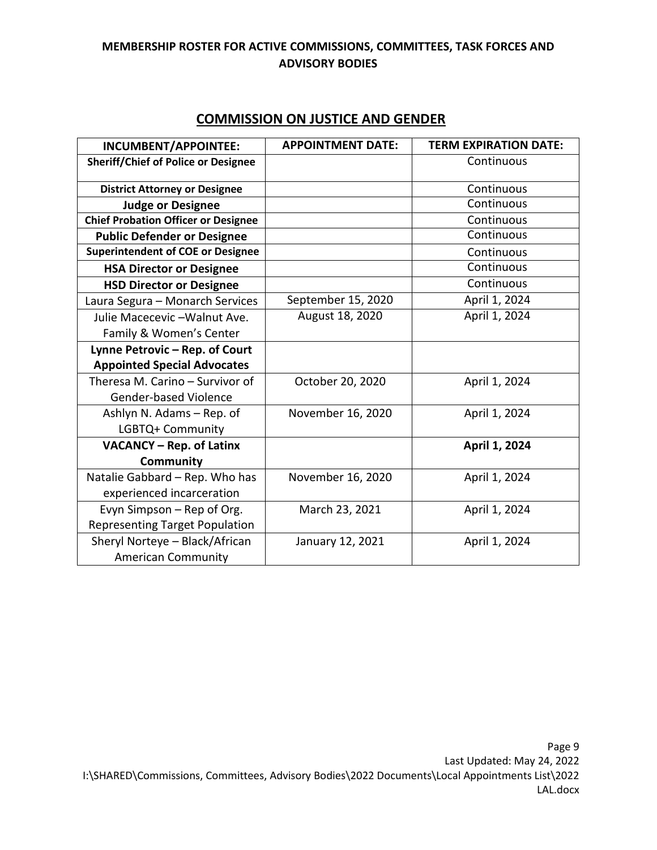|                                            | <b>APPOINTMENT DATE:</b> | <b>TERM EXPIRATION DATE:</b> |
|--------------------------------------------|--------------------------|------------------------------|
| INCUMBENT/APPOINTEE:                       |                          |                              |
| <b>Sheriff/Chief of Police or Designee</b> |                          | Continuous                   |
| <b>District Attorney or Designee</b>       |                          | Continuous                   |
| <b>Judge or Designee</b>                   |                          | Continuous                   |
| <b>Chief Probation Officer or Designee</b> |                          | Continuous                   |
| <b>Public Defender or Designee</b>         |                          | Continuous                   |
| <b>Superintendent of COE or Designee</b>   |                          | Continuous                   |
| <b>HSA Director or Designee</b>            |                          | Continuous                   |
| <b>HSD Director or Designee</b>            |                          | Continuous                   |
| Laura Segura - Monarch Services            | September 15, 2020       | April 1, 2024                |
| Julie Macecevic - Walnut Ave.              | August 18, 2020          | April 1, 2024                |
| Family & Women's Center                    |                          |                              |
| Lynne Petrovic - Rep. of Court             |                          |                              |
| <b>Appointed Special Advocates</b>         |                          |                              |
| Theresa M. Carino - Survivor of            | October 20, 2020         | April 1, 2024                |
| <b>Gender-based Violence</b>               |                          |                              |
| Ashlyn N. Adams – Rep. of                  | November 16, 2020        | April 1, 2024                |
| LGBTQ+ Community                           |                          |                              |
| <b>VACANCY - Rep. of Latinx</b>            |                          | April 1, 2024                |
| Community                                  |                          |                              |
| Natalie Gabbard - Rep. Who has             | November 16, 2020        | April 1, 2024                |
| experienced incarceration                  |                          |                              |
| Evyn Simpson - Rep of Org.                 | March 23, 2021           | April 1, 2024                |
| <b>Representing Target Population</b>      |                          |                              |
| Sheryl Norteye - Black/African             | January 12, 2021         | April 1, 2024                |
| <b>American Community</b>                  |                          |                              |

# **COMMISSION ON JUSTICE AND GENDER**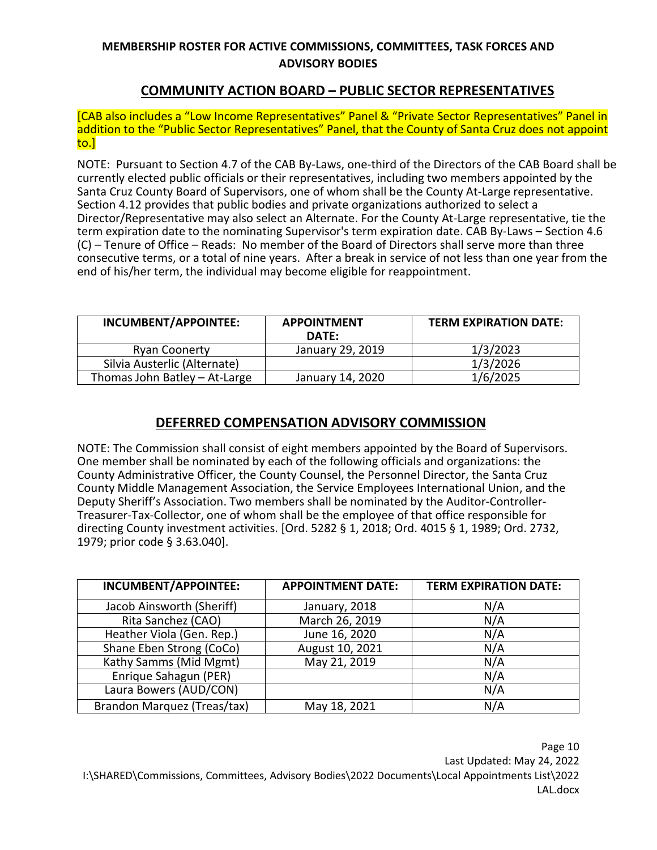# **COMMUNITY ACTION BOARD – PUBLIC SECTOR REPRESENTATIVES**

[CAB also includes a "Low Income Representatives" Panel & "Private Sector Representatives" Panel in addition to the "Public Sector Representatives" Panel, that the County of Santa Cruz does not appoint to.]

NOTE: Pursuant to Section 4.7 of the CAB By-Laws, one-third of the Directors of the CAB Board shall be currently elected public officials or their representatives, including two members appointed by the Santa Cruz County Board of Supervisors, one of whom shall be the County At-Large representative. Section 4.12 provides that public bodies and private organizations authorized to select a Director/Representative may also select an Alternate. For the County At-Large representative, tie the term expiration date to the nominating Supervisor's term expiration date. CAB By-Laws – Section 4.6 (C) – Tenure of Office – Reads: No member of the Board of Directors shall serve more than three consecutive terms, or a total of nine years. After a break in service of not less than one year from the end of his/her term, the individual may become eligible for reappointment.

| INCUMBENT/APPOINTEE:          | <b>APPOINTMENT</b><br>DATE: | <b>TERM EXPIRATION DATE:</b> |
|-------------------------------|-----------------------------|------------------------------|
| <b>Ryan Coonerty</b>          | January 29, 2019            | 1/3/2023                     |
| Silvia Austerlic (Alternate)  |                             | 1/3/2026                     |
| Thomas John Batley - At-Large | January 14, 2020            | 1/6/2025                     |

# **DEFERRED COMPENSATION ADVISORY COMMISSION**

NOTE: The Commission shall consist of eight members appointed by the Board of Supervisors. One member shall be nominated by each of the following officials and organizations: the County Administrative Officer, the County Counsel, the Personnel Director, the Santa Cruz County Middle Management Association, the Service Employees International Union, and the Deputy Sheriff's Association. Two members shall be nominated by the Auditor-Controller-Treasurer-Tax-Collector, one of whom shall be the employee of that office responsible for directing County investment activities. [Ord. 5282 § 1, 2018; Ord. 4015 § 1, 1989; Ord. 2732, 1979; prior code § 3.63.040].

| INCUMBENT/APPOINTEE:        | <b>APPOINTMENT DATE:</b> | <b>TERM EXPIRATION DATE:</b> |
|-----------------------------|--------------------------|------------------------------|
| Jacob Ainsworth (Sheriff)   | January, 2018            | N/A                          |
| Rita Sanchez (CAO)          | March 26, 2019           | N/A                          |
| Heather Viola (Gen. Rep.)   | June 16, 2020            | N/A                          |
| Shane Eben Strong (CoCo)    | August 10, 2021          | N/A                          |
| Kathy Samms (Mid Mgmt)      | May 21, 2019             | N/A                          |
| Enrique Sahagun (PER)       |                          | N/A                          |
| Laura Bowers (AUD/CON)      |                          | N/A                          |
| Brandon Marquez (Treas/tax) | May 18, 2021             | N/A                          |

Page 10 Last Updated: May 24, 2022 I:\SHARED\Commissions, Committees, Advisory Bodies\2022 Documents\Local Appointments List\2022 LAL.docx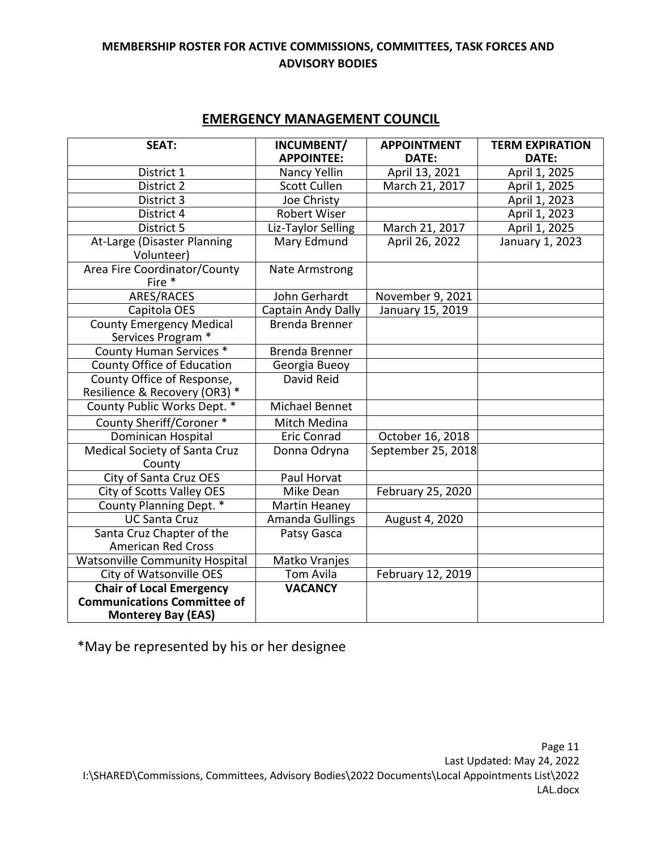# **EMERGENCY MANAGEMENT COUNCIL**

| <b>SEAT:</b>                                                          | INCUMBENT/<br><b>APPOINTEE:</b> | <b>APPOINTMENT</b><br>DATE: | <b>TERM EXPIRATION</b><br>DATE: |
|-----------------------------------------------------------------------|---------------------------------|-----------------------------|---------------------------------|
| District 1                                                            | Nancy Yellin                    | April 13, 2021              | April 1, 2025                   |
| District 2                                                            | <b>Scott Cullen</b>             | March 21, 2017              | April 1, 2025                   |
| District 3                                                            | Joe Christy                     |                             | April 1, 2023                   |
| District 4                                                            | <b>Robert Wiser</b>             |                             | April 1, 2023                   |
| District 5                                                            | Liz-Taylor Selling              | March 21, 2017              | April 1, 2025                   |
| At-Large (Disaster Planning<br>Volunteer)                             | <b>Mary Edmund</b>              | April 26, 2022              | January 1, 2023                 |
| Area Fire Coordinator/County<br>Fire *                                | <b>Nate Armstrong</b>           |                             |                                 |
| ARES/RACES                                                            | John Gerhardt                   | November 9, 2021            |                                 |
| Capitola OES                                                          | Captain Andy Dally              | January 15, 2019            |                                 |
| <b>County Emergency Medical</b><br>Services Program *                 | <b>Brenda Brenner</b>           |                             |                                 |
| <b>County Human Services *</b>                                        | Brenda Brenner                  |                             |                                 |
| <b>County Office of Education</b>                                     | Georgia Bueoy                   |                             |                                 |
| County Office of Response,<br>Resilience & Recovery (OR3) *           | David Reid                      |                             |                                 |
| County Public Works Dept. *                                           | <b>Michael Bennet</b>           |                             |                                 |
| <b>County Sheriff/Coroner *</b>                                       | Mitch Medina                    |                             |                                 |
| <b>Dominican Hospital</b>                                             | <b>Eric Conrad</b>              | October 16, 2018            |                                 |
| <b>Medical Society of Santa Cruz</b><br>County                        | Donna Odryna                    | September 25, 2018          |                                 |
| <b>City of Santa Cruz OES</b>                                         | Paul Horvat                     |                             |                                 |
| City of Scotts Valley OES                                             | Mike Dean                       | February 25, 2020           |                                 |
| County Planning Dept. *                                               | Martin Heaney                   |                             |                                 |
| <b>UC Santa Cruz</b>                                                  | <b>Amanda Gullings</b>          | August 4, 2020              |                                 |
| Santa Cruz Chapter of the<br><b>American Red Cross</b>                | Patsy Gasca                     |                             |                                 |
| <b>Watsonville Community Hospital</b>                                 | Matko Vranjes                   |                             |                                 |
| City of Watsonville OES                                               | Tom Avila                       | February 12, 2019           |                                 |
| <b>Chair of Local Emergency</b><br><b>Communications Committee of</b> | <b>VACANCY</b>                  |                             |                                 |
| <b>Monterey Bay (EAS)</b>                                             |                                 |                             |                                 |

\*May be represented by his or her designee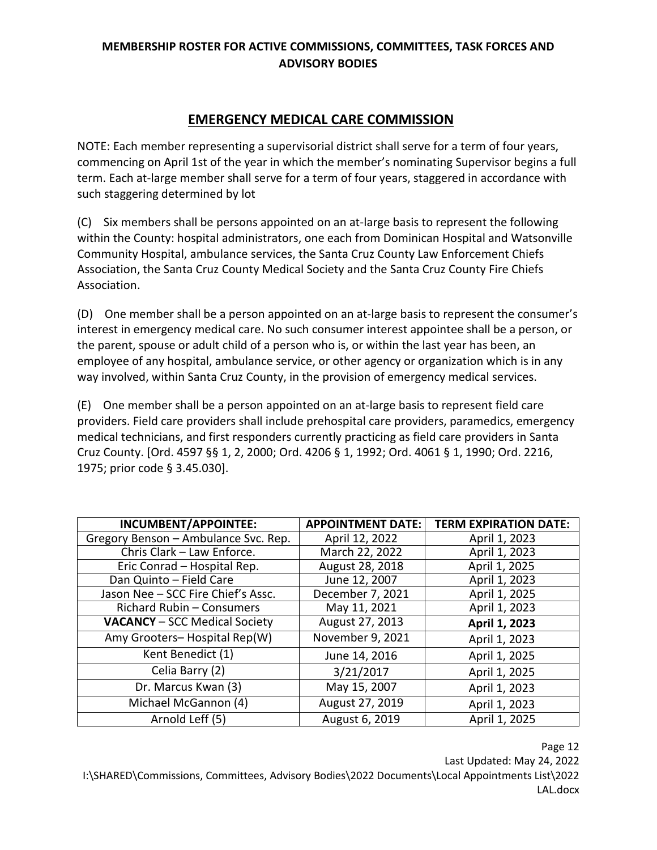# **EMERGENCY MEDICAL CARE COMMISSION**

NOTE: Each member representing a supervisorial district shall serve for a term of four years, commencing on April 1st of the year in which the member's nominating Supervisor begins a full term. Each at-large member shall serve for a term of four years, staggered in accordance with such staggering determined by lot

(C) Six members shall be persons appointed on an at-large basis to represent the following within the County: hospital administrators, one each from Dominican Hospital and Watsonville Community Hospital, ambulance services, the Santa Cruz County Law Enforcement Chiefs Association, the Santa Cruz County Medical Society and the Santa Cruz County Fire Chiefs Association.

(D) One member shall be a person appointed on an at-large basis to represent the consumer's interest in emergency medical care. No such consumer interest appointee shall be a person, or the parent, spouse or adult child of a person who is, or within the last year has been, an employee of any hospital, ambulance service, or other agency or organization which is in any way involved, within Santa Cruz County, in the provision of emergency medical services.

(E) One member shall be a person appointed on an at-large basis to represent field care providers. Field care providers shall include prehospital care providers, paramedics, emergency medical technicians, and first responders currently practicing as field care providers in Santa Cruz County. [Ord. 4597 §§ 1, 2, 2000; Ord. 4206 § 1, 1992; Ord. 4061 § 1, 1990; Ord. 2216, 1975; prior code § 3.45.030].

| INCUMBENT/APPOINTEE:                 | <b>APPOINTMENT DATE:</b> | <b>TERM EXPIRATION DATE:</b> |
|--------------------------------------|--------------------------|------------------------------|
| Gregory Benson - Ambulance Svc. Rep. | April 12, 2022           | April 1, 2023                |
| Chris Clark - Law Enforce.           | March 22, 2022           | April 1, 2023                |
| Eric Conrad - Hospital Rep.          | August 28, 2018          | April 1, 2025                |
| Dan Quinto - Field Care              | June 12, 2007            | April 1, 2023                |
| Jason Nee - SCC Fire Chief's Assc.   | December 7, 2021         | April 1, 2025                |
| Richard Rubin - Consumers            | May 11, 2021             | April 1, 2023                |
| <b>VACANCY</b> - SCC Medical Society | August 27, 2013          | April 1, 2023                |
| Amy Grooters-Hospital Rep(W)         | November 9, 2021         | April 1, 2023                |
| Kent Benedict (1)                    | June 14, 2016            | April 1, 2025                |
| Celia Barry (2)                      | 3/21/2017                | April 1, 2025                |
| Dr. Marcus Kwan (3)                  | May 15, 2007             | April 1, 2023                |
| Michael McGannon (4)                 | August 27, 2019          | April 1, 2023                |
| Arnold Leff (5)                      | August 6, 2019           | April 1, 2025                |

Page 12

Last Updated: May 24, 2022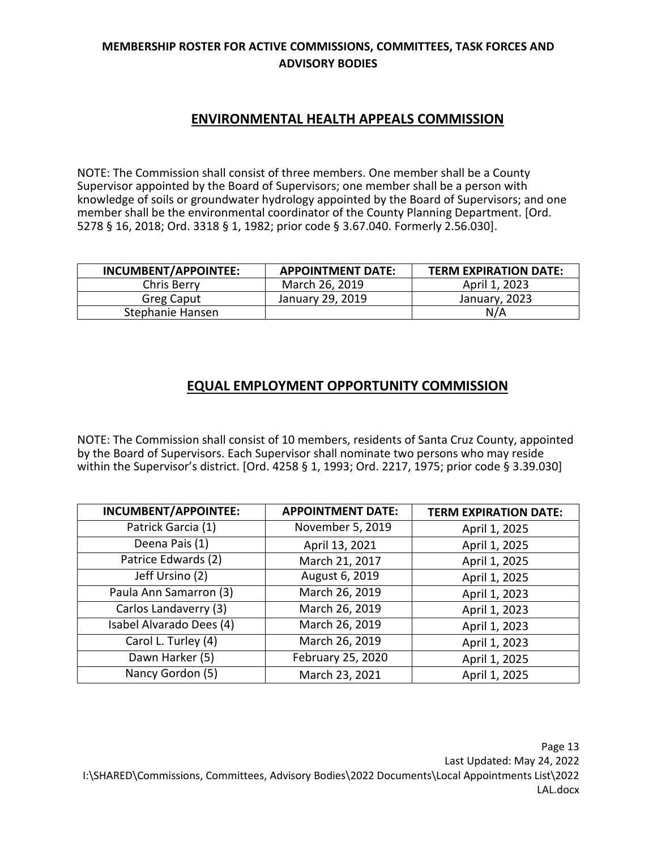# **ENVIRONMENTAL HEALTH APPEALS COMMISSION**

NOTE: The Commission shall consist of three members. One member shall be a County Supervisor appointed by the Board of Supervisors; one member shall be a person with knowledge of soils or groundwater hydrology appointed by the Board of Supervisors; and one member shall be the environmental coordinator of the County Planning Department. [Ord. 5278 § 16, 2018; Ord. 3318 § 1, 1982; prior code § 3.67.040. Formerly 2.56.030].

| INCUMBENT/APPOINTEE: | <b>APPOINTMENT DATE:</b> | <b>TERM EXPIRATION DATE:</b> |
|----------------------|--------------------------|------------------------------|
| Chris Berry          | March 26, 2019           | April 1, 2023                |
| <b>Greg Caput</b>    | January 29, 2019         | January, 2023                |
| Stephanie Hansen     |                          | N/A                          |

# **EQUAL EMPLOYMENT OPPORTUNITY COMMISSION**

NOTE: The Commission shall consist of 10 members, residents of Santa Cruz County, appointed by the Board of Supervisors. Each Supervisor shall nominate two persons who may reside within the Supervisor's district. [Ord. 4258 § 1, 1993; Ord. 2217, 1975; prior code § 3.39.030]

| INCUMBENT/APPOINTEE:     | <b>APPOINTMENT DATE:</b> | <b>TERM EXPIRATION DATE:</b> |
|--------------------------|--------------------------|------------------------------|
| Patrick Garcia (1)       | November 5, 2019         | April 1, 2025                |
| Deena Pais (1)           | April 13, 2021           | April 1, 2025                |
| Patrice Edwards (2)      | March 21, 2017           | April 1, 2025                |
| Jeff Ursino (2)          | August 6, 2019           | April 1, 2025                |
| Paula Ann Samarron (3)   | March 26, 2019           | April 1, 2023                |
| Carlos Landaverry (3)    | March 26, 2019           | April 1, 2023                |
| Isabel Alvarado Dees (4) | March 26, 2019           | April 1, 2023                |
| Carol L. Turley (4)      | March 26, 2019           | April 1, 2023                |
| Dawn Harker (5)          | February 25, 2020        | April 1, 2025                |
| Nancy Gordon (5)         | March 23, 2021           | April 1, 2025                |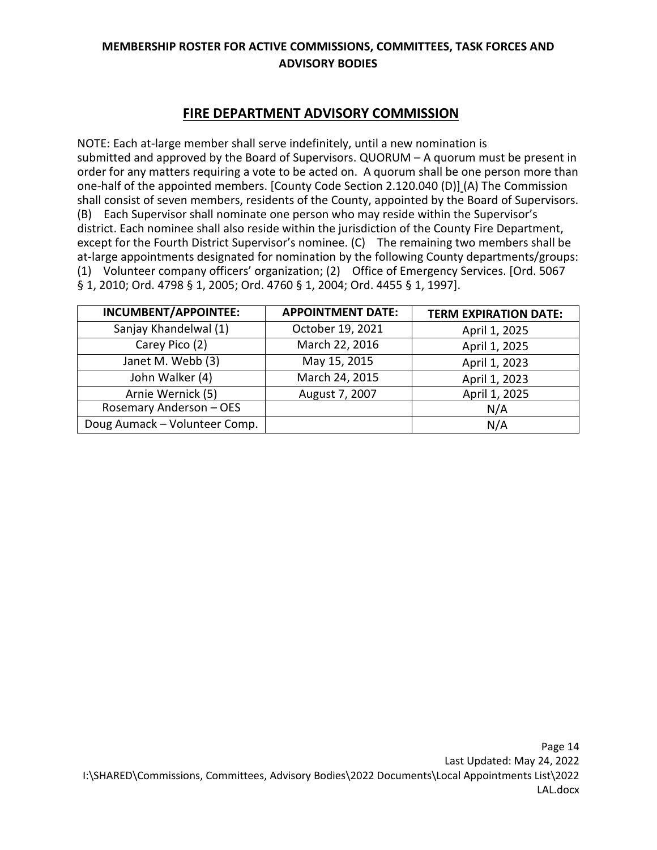# **FIRE DEPARTMENT ADVISORY COMMISSION**

NOTE: Each at-large member shall serve indefinitely, until a new nomination is submitted and approved by the Board of Supervisors. QUORUM – A quorum must be present in order for any matters requiring a vote to be acted on. A quorum shall be one person more than one-half of the appointed members. [County Code Section 2.120.040 (D)] (A) The Commission shall consist of seven members, residents of the County, appointed by the Board of Supervisors. (B) Each Supervisor shall nominate one person who may reside within the Supervisor's district. Each nominee shall also reside within the jurisdiction of the County Fire Department, except for the Fourth District Supervisor's nominee. (C) The remaining two members shall be at-large appointments designated for nomination by the following County departments/groups: (1) Volunteer company officers' organization; (2) Office of Emergency Services. [Ord. 5067 § 1, 2010; Ord. 4798 § 1, 2005; Ord. 4760 § 1, 2004; Ord. 4455 § 1, 1997].

| <b>INCUMBENT/APPOINTEE:</b>   | <b>APPOINTMENT DATE:</b> | <b>TERM EXPIRATION DATE:</b> |
|-------------------------------|--------------------------|------------------------------|
| Sanjay Khandelwal (1)         | October 19, 2021         | April 1, 2025                |
| Carey Pico (2)                | March 22, 2016           | April 1, 2025                |
| Janet M. Webb (3)             | May 15, 2015             | April 1, 2023                |
| John Walker (4)               | March 24, 2015           | April 1, 2023                |
| Arnie Wernick (5)             | August 7, 2007           | April 1, 2025                |
| Rosemary Anderson - OES       |                          | N/A                          |
| Doug Aumack - Volunteer Comp. |                          | N/A                          |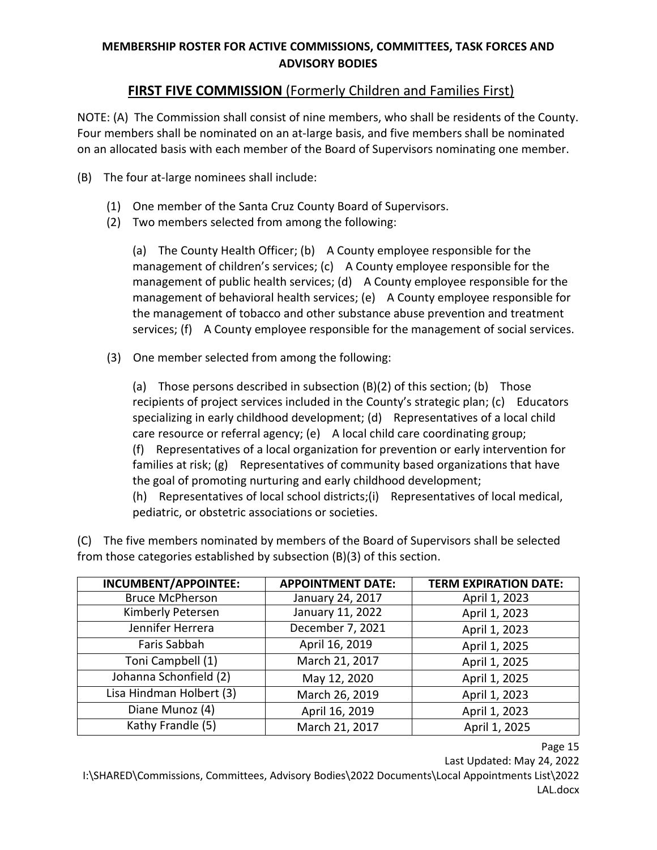# **FIRST FIVE COMMISSION** (Formerly Children and Families First)

NOTE: (A) The Commission shall consist of nine members, who shall be residents of the County. Four members shall be nominated on an at-large basis, and five members shall be nominated on an allocated basis with each member of the Board of Supervisors nominating one member.

- (B) The four at-large nominees shall include:
	- (1) One member of the Santa Cruz County Board of Supervisors.
	- (2) Two members selected from among the following:

(a) The County Health Officer; (b) A County employee responsible for the management of children's services; (c) A County employee responsible for the management of public health services; (d) A County employee responsible for the management of behavioral health services; (e) A County employee responsible for the management of tobacco and other substance abuse prevention and treatment services; (f) A County employee responsible for the management of social services.

(3) One member selected from among the following:

(a) Those persons described in subsection (B)(2) of this section; (b) Those recipients of project services included in the County's strategic plan; (c) Educators specializing in early childhood development; (d) Representatives of a local child care resource or referral agency; (e) A local child care coordinating group; (f) Representatives of a local organization for prevention or early intervention for

families at risk; (g) Representatives of community based organizations that have the goal of promoting nurturing and early childhood development;

(h) Representatives of local school districts;(i) Representatives of local medical, pediatric, or obstetric associations or societies.

(C) The five members nominated by members of the Board of Supervisors shall be selected from those categories established by subsection (B)(3) of this section.

| <b>INCUMBENT/APPOINTEE:</b> | <b>APPOINTMENT DATE:</b> | <b>TERM EXPIRATION DATE:</b> |
|-----------------------------|--------------------------|------------------------------|
| <b>Bruce McPherson</b>      | January 24, 2017         | April 1, 2023                |
| Kimberly Petersen           | January 11, 2022         | April 1, 2023                |
| Jennifer Herrera            | December 7, 2021         | April 1, 2023                |
| Faris Sabbah                | April 16, 2019           | April 1, 2025                |
| Toni Campbell (1)           | March 21, 2017           | April 1, 2025                |
| Johanna Schonfield (2)      | May 12, 2020             | April 1, 2025                |
| Lisa Hindman Holbert (3)    | March 26, 2019           | April 1, 2023                |
| Diane Munoz (4)             | April 16, 2019           | April 1, 2023                |
| Kathy Frandle (5)           | March 21, 2017           | April 1, 2025                |

Page 15

Last Updated: May 24, 2022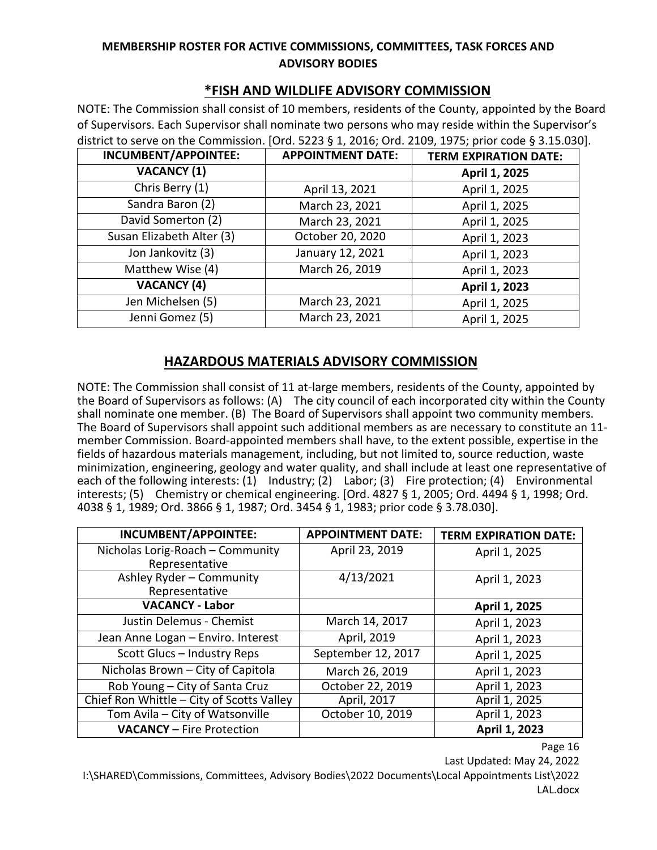# **\*FISH AND WILDLIFE ADVISORY COMMISSION**

NOTE: The Commission shall consist of 10 members, residents of the County, appointed by the Board of Supervisors. Each Supervisor shall nominate two persons who may reside within the Supervisor's district to serve on the Commission. [Ord. 5223 § 1, 2016; Ord. 2109, 1975; prior code § 3.15.030].

| <b>INCUMBENT/APPOINTEE:</b> | <b>APPOINTMENT DATE:</b> | <b>TERM EXPIRATION DATE:</b> |
|-----------------------------|--------------------------|------------------------------|
| <b>VACANCY (1)</b>          |                          | April 1, 2025                |
| Chris Berry (1)             | April 13, 2021           | April 1, 2025                |
| Sandra Baron (2)            | March 23, 2021           | April 1, 2025                |
| David Somerton (2)          | March 23, 2021           | April 1, 2025                |
| Susan Elizabeth Alter (3)   | October 20, 2020         | April 1, 2023                |
| Jon Jankovitz (3)           | January 12, 2021         | April 1, 2023                |
| Matthew Wise (4)            | March 26, 2019           | April 1, 2023                |
| <b>VACANCY (4)</b>          |                          | April 1, 2023                |
| Jen Michelsen (5)           | March 23, 2021           | April 1, 2025                |
| Jenni Gomez (5)             | March 23, 2021           | April 1, 2025                |

#### **HAZARDOUS MATERIALS ADVISORY COMMISSION**

NOTE: The Commission shall consist of 11 at-large members, residents of the County, appointed by the Board of Supervisors as follows: (A) The city council of each incorporated city within the County shall nominate one member. (B) The Board of Supervisors shall appoint two community members. The Board of Supervisors shall appoint such additional members as are necessary to constitute an 11 member Commission. Board-appointed members shall have, to the extent possible, expertise in the fields of hazardous materials management, including, but not limited to, source reduction, waste minimization, engineering, geology and water quality, and shall include at least one representative of each of the following interests: (1) Industry; (2) Labor; (3) Fire protection; (4) Environmental interests; (5) Chemistry or chemical engineering. [Ord. 4827 § 1, 2005; Ord. 4494 § 1, 1998; Ord. 4038 § 1, 1989; Ord. 3866 § 1, 1987; Ord. 3454 § 1, 1983; prior code § 3.78.030].

| INCUMBENT/APPOINTEE:                      | <b>APPOINTMENT DATE:</b> | <b>TERM EXPIRATION DATE:</b> |
|-------------------------------------------|--------------------------|------------------------------|
| Nicholas Lorig-Roach - Community          | April 23, 2019           | April 1, 2025                |
| Representative                            |                          |                              |
| Ashley Ryder - Community                  | 4/13/2021                | April 1, 2023                |
| Representative                            |                          |                              |
| <b>VACANCY - Labor</b>                    |                          | April 1, 2025                |
| Justin Delemus - Chemist                  | March 14, 2017           | April 1, 2023                |
| Jean Anne Logan - Enviro. Interest        | April, 2019              | April 1, 2023                |
| Scott Glucs - Industry Reps               | September 12, 2017       | April 1, 2025                |
| Nicholas Brown - City of Capitola         | March 26, 2019           | April 1, 2023                |
| Rob Young - City of Santa Cruz            | October 22, 2019         | April 1, 2023                |
| Chief Ron Whittle - City of Scotts Valley | April, 2017              | April 1, 2025                |
| Tom Avila - City of Watsonville           | October 10, 2019         | April 1, 2023                |
| <b>VACANCY</b> - Fire Protection          |                          | April 1, 2023                |

Page 16

Last Updated: May 24, 2022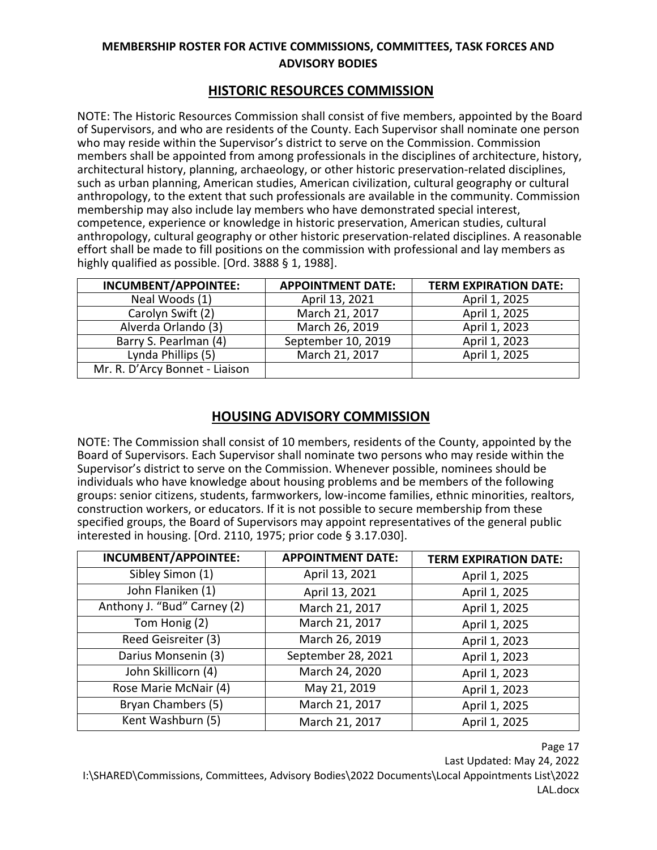# **HISTORIC RESOURCES COMMISSION**

NOTE: The Historic Resources Commission shall consist of five members, appointed by the Board of Supervisors, and who are residents of the County. Each Supervisor shall nominate one person who may reside within the Supervisor's district to serve on the Commission. Commission members shall be appointed from among professionals in the disciplines of architecture, history, architectural history, planning, archaeology, or other historic preservation-related disciplines, such as urban planning, American studies, American civilization, cultural geography or cultural anthropology, to the extent that such professionals are available in the community. Commission membership may also include lay members who have demonstrated special interest, competence, experience or knowledge in historic preservation, American studies, cultural anthropology, cultural geography or other historic preservation-related disciplines. A reasonable effort shall be made to fill positions on the commission with professional and lay members as highly qualified as possible. [Ord. 3888 § 1, 1988].

| INCUMBENT/APPOINTEE:           | <b>APPOINTMENT DATE:</b> | <b>TERM EXPIRATION DATE:</b> |
|--------------------------------|--------------------------|------------------------------|
| Neal Woods (1)                 | April 13, 2021           | April 1, 2025                |
| Carolyn Swift (2)              | March 21, 2017           | April 1, 2025                |
| Alverda Orlando (3)            | March 26, 2019           | April 1, 2023                |
| Barry S. Pearlman (4)          | September 10, 2019       | April 1, 2023                |
| Lynda Phillips (5)             | March 21, 2017           | April 1, 2025                |
| Mr. R. D'Arcy Bonnet - Liaison |                          |                              |

# **HOUSING ADVISORY COMMISSION**

NOTE: The Commission shall consist of 10 members, residents of the County, appointed by the Board of Supervisors. Each Supervisor shall nominate two persons who may reside within the Supervisor's district to serve on the Commission. Whenever possible, nominees should be individuals who have knowledge about housing problems and be members of the following groups: senior citizens, students, farmworkers, low-income families, ethnic minorities, realtors, construction workers, or educators. If it is not possible to secure membership from these specified groups, the Board of Supervisors may appoint representatives of the general public interested in housing. [Ord. 2110, 1975; prior code § 3.17.030].

| <b>INCUMBENT/APPOINTEE:</b> | <b>APPOINTMENT DATE:</b> | <b>TERM EXPIRATION DATE:</b> |
|-----------------------------|--------------------------|------------------------------|
| Sibley Simon (1)            | April 13, 2021           | April 1, 2025                |
| John Flaniken (1)           | April 13, 2021           | April 1, 2025                |
| Anthony J. "Bud" Carney (2) | March 21, 2017           | April 1, 2025                |
| Tom Honig (2)               | March 21, 2017           | April 1, 2025                |
| Reed Geisreiter (3)         | March 26, 2019           | April 1, 2023                |
| Darius Monsenin (3)         | September 28, 2021       | April 1, 2023                |
| John Skillicorn (4)         | March 24, 2020           | April 1, 2023                |
| Rose Marie McNair (4)       | May 21, 2019             | April 1, 2023                |
| Bryan Chambers (5)          | March 21, 2017           | April 1, 2025                |
| Kent Washburn (5)           | March 21, 2017           | April 1, 2025                |

Page 17

Last Updated: May 24, 2022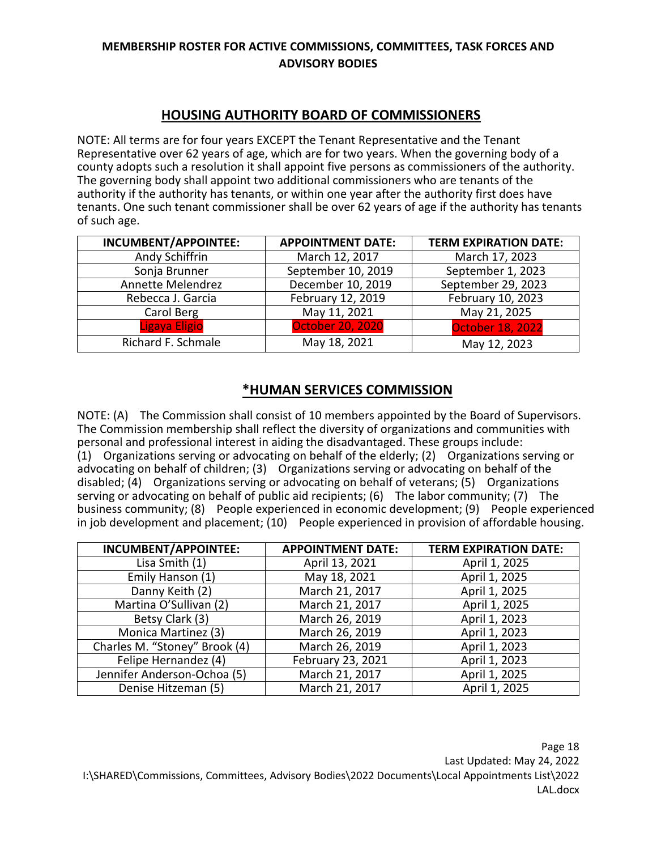# **HOUSING AUTHORITY BOARD OF COMMISSIONERS**

NOTE: All terms are for four years EXCEPT the Tenant Representative and the Tenant Representative over 62 years of age, which are for two years. When the governing body of a county adopts such a resolution it shall appoint five persons as commissioners of the authority. The governing body shall appoint two additional commissioners who are tenants of the authority if the authority has tenants, or within one year after the authority first does have tenants. One such tenant commissioner shall be over 62 years of age if the authority has tenants of such age.

| <b>INCUMBENT/APPOINTEE:</b> | <b>APPOINTMENT DATE:</b> | <b>TERM EXPIRATION DATE:</b> |
|-----------------------------|--------------------------|------------------------------|
| Andy Schiffrin              | March 12, 2017           | March 17, 2023               |
| Sonja Brunner               | September 10, 2019       | September 1, 2023            |
| Annette Melendrez           | December 10, 2019        | September 29, 2023           |
| Rebecca J. Garcia           | February 12, 2019        | February 10, 2023            |
| Carol Berg                  | May 11, 2021             | May 21, 2025                 |
| Ligaya Eligio               | <b>October 20, 2020</b>  | <b>October 18, 2022</b>      |
| Richard F. Schmale          | May 18, 2021             | May 12, 2023                 |

#### **\*HUMAN SERVICES COMMISSION**

NOTE: (A) The Commission shall consist of 10 members appointed by the Board of Supervisors. The Commission membership shall reflect the diversity of organizations and communities with personal and professional interest in aiding the disadvantaged. These groups include: (1) Organizations serving or advocating on behalf of the elderly; (2) Organizations serving or advocating on behalf of children; (3) Organizations serving or advocating on behalf of the disabled; (4) Organizations serving or advocating on behalf of veterans; (5) Organizations serving or advocating on behalf of public aid recipients; (6) The labor community; (7) The business community; (8) People experienced in economic development; (9) People experienced in job development and placement; (10) People experienced in provision of affordable housing.

| <b>INCUMBENT/APPOINTEE:</b>   | <b>APPOINTMENT DATE:</b> | <b>TERM EXPIRATION DATE:</b> |
|-------------------------------|--------------------------|------------------------------|
| Lisa Smith (1)                | April 13, 2021           | April 1, 2025                |
| Emily Hanson (1)              | May 18, 2021             | April 1, 2025                |
| Danny Keith (2)               | March 21, 2017           | April 1, 2025                |
| Martina O'Sullivan (2)        | March 21, 2017           | April 1, 2025                |
| Betsy Clark (3)               | March 26, 2019           | April 1, 2023                |
| Monica Martinez (3)           | March 26, 2019           | April 1, 2023                |
| Charles M. "Stoney" Brook (4) | March 26, 2019           | April 1, 2023                |
| Felipe Hernandez (4)          | February 23, 2021        | April 1, 2023                |
| Jennifer Anderson-Ochoa (5)   | March 21, 2017           | April 1, 2025                |
| Denise Hitzeman (5)           | March 21, 2017           | April 1, 2025                |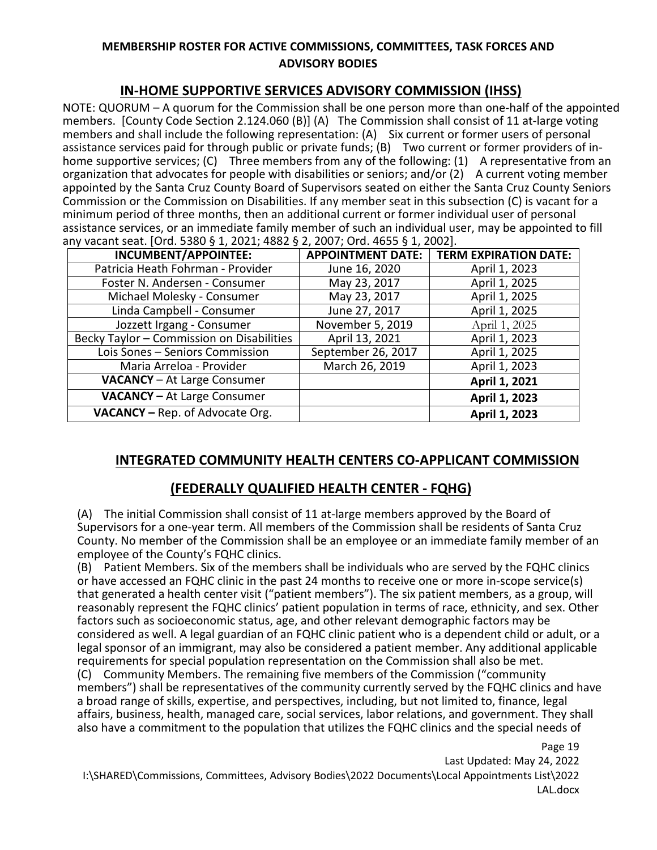# **IN-HOME SUPPORTIVE SERVICES ADVISORY COMMISSION (IHSS)**

NOTE: QUORUM – A quorum for the Commission shall be one person more than one-half of the appointed members. [County Code Section 2.124.060 (B)] (A) The Commission shall consist of 11 at-large voting members and shall include the following representation: (A) Six current or former users of personal assistance services paid for through public or private funds; (B) Two current or former providers of inhome supportive services; (C) Three members from any of the following: (1) A representative from an organization that advocates for people with disabilities or seniors; and/or (2) A current voting member appointed by the Santa Cruz County Board of Supervisors seated on either the Santa Cruz County Seniors Commission or the Commission on Disabilities. If any member seat in this subsection (C) is vacant for a minimum period of three months, then an additional current or former individual user of personal assistance services, or an immediate family member of such an individual user, may be appointed to fill any vacant seat. [Ord. 5380 § 1, 2021; 4882 § 2, 2007; Ord. 4655 § 1, 2002].

| <b>INCUMBENT/APPOINTEE:</b>               | <b>APPOINTMENT DATE:</b> | <b>TERM EXPIRATION DATE:</b> |
|-------------------------------------------|--------------------------|------------------------------|
| Patricia Heath Fohrman - Provider         | June 16, 2020            | April 1, 2023                |
| Foster N. Andersen - Consumer             | May 23, 2017             | April 1, 2025                |
| Michael Molesky - Consumer                | May 23, 2017             | April 1, 2025                |
| Linda Campbell - Consumer                 | June 27, 2017            | April 1, 2025                |
| Jozzett Irgang - Consumer                 | November 5, 2019         | April 1, 2025                |
| Becky Taylor - Commission on Disabilities | April 13, 2021           | April 1, 2023                |
| Lois Sones - Seniors Commission           | September 26, 2017       | April 1, 2025                |
| Maria Arreloa - Provider                  | March 26, 2019           | April 1, 2023                |
| <b>VACANCY</b> - At Large Consumer        |                          | April 1, 2021                |
| <b>VACANCY - At Large Consumer</b>        |                          | April 1, 2023                |
| VACANCY - Rep. of Advocate Org.           |                          | April 1, 2023                |

# **INTEGRATED COMMUNITY HEALTH CENTERS CO-APPLICANT COMMISSION**

# **(FEDERALLY QUALIFIED HEALTH CENTER - FQHG)**

(A) The initial Commission shall consist of 11 at-large members approved by the Board of Supervisors for a one-year term. All members of the Commission shall be residents of Santa Cruz County. No member of the Commission shall be an employee or an immediate family member of an employee of the County's FQHC clinics.

(B) Patient Members. Six of the members shall be individuals who are served by the FQHC clinics or have accessed an FQHC clinic in the past 24 months to receive one or more in-scope service(s) that generated a health center visit ("patient members"). The six patient members, as a group, will reasonably represent the FQHC clinics' patient population in terms of race, ethnicity, and sex. Other factors such as socioeconomic status, age, and other relevant demographic factors may be considered as well. A legal guardian of an FQHC clinic patient who is a dependent child or adult, or a legal sponsor of an immigrant, may also be considered a patient member. Any additional applicable requirements for special population representation on the Commission shall also be met.

(C) Community Members. The remaining five members of the Commission ("community members") shall be representatives of the community currently served by the FQHC clinics and have a broad range of skills, expertise, and perspectives, including, but not limited to, finance, legal affairs, business, health, managed care, social services, labor relations, and government. They shall also have a commitment to the population that utilizes the FQHC clinics and the special needs of

Page 19 Last Updated: May 24, 2022 I:\SHARED\Commissions, Committees, Advisory Bodies\2022 Documents\Local Appointments List\2022 LAL.docx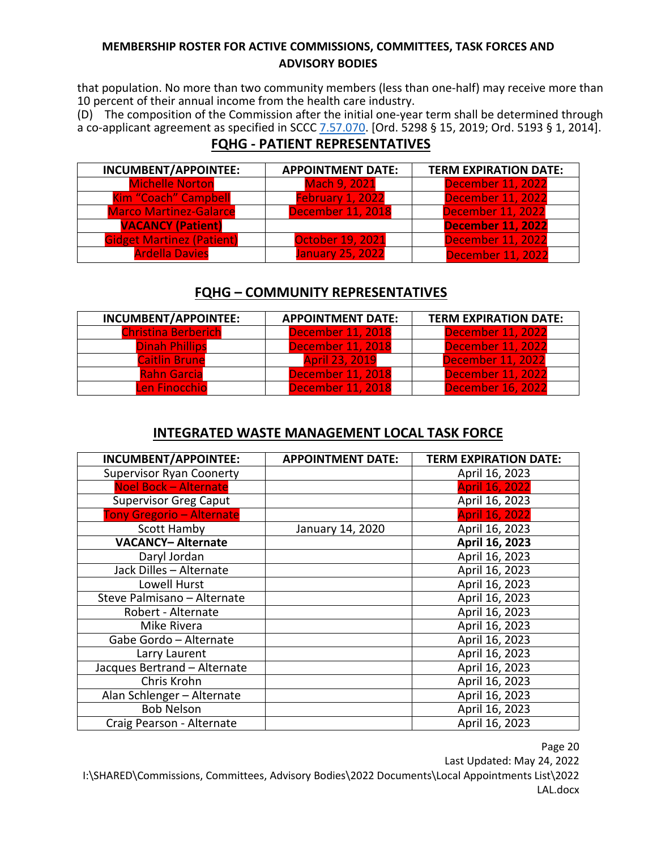that population. No more than two community members (less than one-half) may receive more than 10 percent of their annual income from the health care industry.

(D) The composition of the Commission after the initial one-year term shall be determined through a co-applicant agreement as specified in SCCC [7.57.070.](https://www.codepublishing.com/CA/SantaCruzCounty/html/SantaCruzCounty07/SantaCruzCounty0757.html#7.57.070) [Ord. 5298 § 15, 2019; Ord. 5193 § 1, 2014].

# **FQHG - PATIENT REPRESENTATIVES**

| INCUMBENT/APPOINTEE:             | <b>APPOINTMENT DATE:</b> | <b>TERM EXPIRATION DATE:</b> |
|----------------------------------|--------------------------|------------------------------|
| <b>Michelle Norton</b>           | <b>Mach 9, 2021</b>      | <b>December 11, 2022</b>     |
| Kim "Coach" Campbell             | February 1, 2022         | <b>December 11, 2022</b>     |
| <b>Marco Martinez-Galarce</b>    | <b>December 11, 2018</b> | <b>December 11, 2022</b>     |
| <b>VACANCY (Patient)</b>         |                          | <b>December 11, 2022</b>     |
| <b>Gidget Martinez (Patient)</b> | <b>October 19, 2021</b>  | <b>December 11, 2022</b>     |
| <b>Ardella Davies</b>            | <b>January 25, 2022</b>  | <b>December 11, 2022</b>     |

# **FQHG – COMMUNITY REPRESENTATIVES**

| INCUMBENT/APPOINTEE:       | <b>APPOINTMENT DATE:</b> | <b>TERM EXPIRATION DATE:</b> |
|----------------------------|--------------------------|------------------------------|
| <b>Christina Berberich</b> | <b>December 11, 2018</b> | December 11, 2022            |
| <b>Dinah Phillips</b>      | <b>December 11, 2018</b> | December 11, 2022            |
| <b>Caitlin Brune</b>       | <b>April 23, 2019</b>    | <b>December 11, 2022</b>     |
| <b>Rahn Garcia</b>         | <b>December 11, 2018</b> | <b>December 11, 2022</b>     |
| <b>Len Finocchio</b>       | <b>December 11, 2018</b> | <b>December 16, 2022</b>     |

# **INTEGRATED WASTE MANAGEMENT LOCAL TASK FORCE**

| INCUMBENT/APPOINTEE:             | <b>APPOINTMENT DATE:</b> | <b>TERM EXPIRATION DATE:</b> |
|----------------------------------|--------------------------|------------------------------|
| <b>Supervisor Ryan Coonerty</b>  |                          | April 16, 2023               |
| <b>Noel Bock - Alternate</b>     |                          | <b>April 16, 2022</b>        |
| <b>Supervisor Greg Caput</b>     |                          | April 16, 2023               |
| <b>Tony Gregorio - Alternate</b> |                          | <b>April 16, 2022</b>        |
| <b>Scott Hamby</b>               | January 14, 2020         | April 16, 2023               |
| <b>VACANCY-Alternate</b>         |                          | April 16, 2023               |
| Daryl Jordan                     |                          | April 16, 2023               |
| Jack Dilles - Alternate          |                          | April 16, 2023               |
| Lowell Hurst                     |                          | April 16, 2023               |
| Steve Palmisano - Alternate      |                          | April 16, 2023               |
| Robert - Alternate               |                          | April 16, 2023               |
| Mike Rivera                      |                          | April 16, 2023               |
| Gabe Gordo - Alternate           |                          | April 16, 2023               |
| Larry Laurent                    |                          | April 16, 2023               |
| Jacques Bertrand - Alternate     |                          | April 16, 2023               |
| Chris Krohn                      |                          | April 16, 2023               |
| Alan Schlenger - Alternate       |                          | April 16, 2023               |
| <b>Bob Nelson</b>                |                          | April 16, 2023               |
| Craig Pearson - Alternate        |                          | April 16, 2023               |

Page 20

Last Updated: May 24, 2022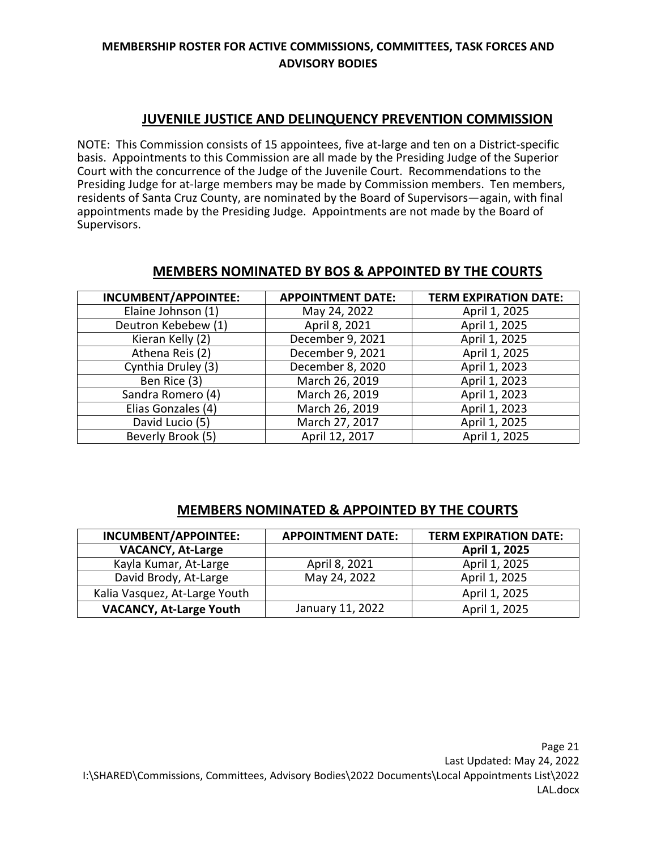# **JUVENILE JUSTICE AND DELINQUENCY PREVENTION COMMISSION**

NOTE: This Commission consists of 15 appointees, five at-large and ten on a District-specific basis. Appointments to this Commission are all made by the Presiding Judge of the Superior Court with the concurrence of the Judge of the Juvenile Court. Recommendations to the Presiding Judge for at-large members may be made by Commission members. Ten members, residents of Santa Cruz County, are nominated by the Board of Supervisors—again, with final appointments made by the Presiding Judge. Appointments are not made by the Board of Supervisors.

#### **MEMBERS NOMINATED BY BOS & APPOINTED BY THE COURTS**

| <b>INCUMBENT/APPOINTEE:</b> | <b>APPOINTMENT DATE:</b> | <b>TERM EXPIRATION DATE:</b> |
|-----------------------------|--------------------------|------------------------------|
| Elaine Johnson (1)          | May 24, 2022             | April 1, 2025                |
| Deutron Kebebew (1)         | April 8, 2021            | April 1, 2025                |
| Kieran Kelly (2)            | December 9, 2021         | April 1, 2025                |
| Athena Reis (2)             | December 9, 2021         | April 1, 2025                |
| Cynthia Druley (3)          | December 8, 2020         | April 1, 2023                |
| Ben Rice (3)                | March 26, 2019           | April 1, 2023                |
| Sandra Romero (4)           | March 26, 2019           | April 1, 2023                |
| Elias Gonzales (4)          | March 26, 2019           | April 1, 2023                |
| David Lucio (5)             | March 27, 2017           | April 1, 2025                |
| Beverly Brook (5)           | April 12, 2017           | April 1, 2025                |

#### **MEMBERS NOMINATED & APPOINTED BY THE COURTS**

| INCUMBENT/APPOINTEE:           | <b>APPOINTMENT DATE:</b> | <b>TERM EXPIRATION DATE:</b> |
|--------------------------------|--------------------------|------------------------------|
| <b>VACANCY, At-Large</b>       |                          | April 1, 2025                |
| Kayla Kumar, At-Large          | April 8, 2021            | April 1, 2025                |
| David Brody, At-Large          | May 24, 2022             | April 1, 2025                |
| Kalia Vasquez, At-Large Youth  |                          | April 1, 2025                |
| <b>VACANCY, At-Large Youth</b> | January 11, 2022         | April 1, 2025                |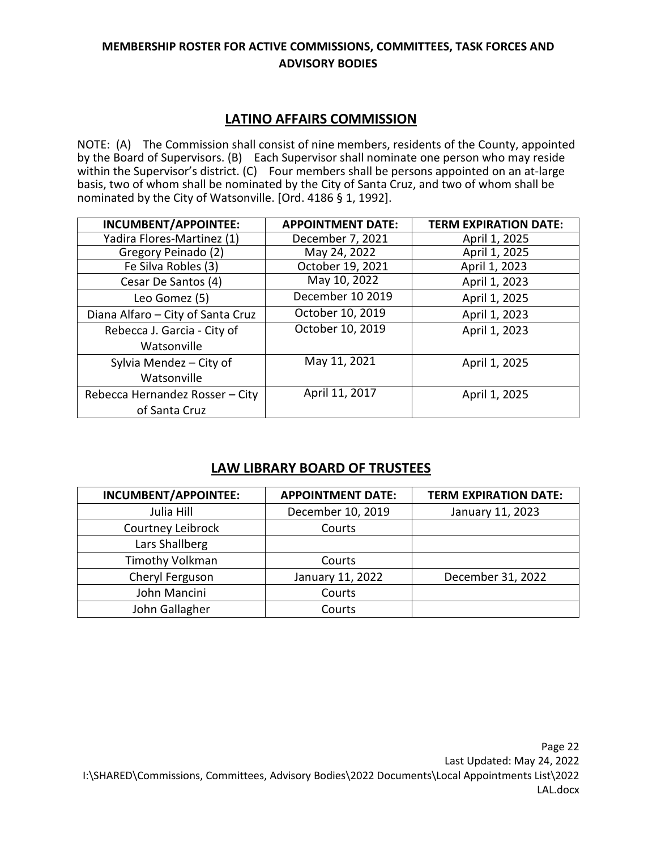# **LATINO AFFAIRS COMMISSION**

NOTE: (A) The Commission shall consist of nine members, residents of the County, appointed by the Board of Supervisors. (B) Each Supervisor shall nominate one person who may reside within the Supervisor's district. (C) Four members shall be persons appointed on an at-large basis, two of whom shall be nominated by the City of Santa Cruz, and two of whom shall be nominated by the City of Watsonville. [Ord. 4186 § 1, 1992].

| INCUMBENT/APPOINTEE:              | <b>APPOINTMENT DATE:</b> | <b>TERM EXPIRATION DATE:</b> |
|-----------------------------------|--------------------------|------------------------------|
| Yadira Flores-Martinez (1)        | December 7, 2021         | April 1, 2025                |
| Gregory Peinado (2)               | May 24, 2022             | April 1, 2025                |
| Fe Silva Robles $\overline{(3)}$  | October 19, 2021         | April 1, 2023                |
| Cesar De Santos (4)               | May 10, 2022             | April 1, 2023                |
| Leo Gomez (5)                     | December 10 2019         | April 1, 2025                |
| Diana Alfaro - City of Santa Cruz | October 10, 2019         | April 1, 2023                |
| Rebecca J. Garcia - City of       | October 10, 2019         | April 1, 2023                |
| Watsonville                       |                          |                              |
| Sylvia Mendez - City of           | May 11, 2021             | April 1, 2025                |
| Watsonville                       |                          |                              |
| Rebecca Hernandez Rosser - City   | April 11, 2017           | April 1, 2025                |
| of Santa Cruz                     |                          |                              |

# **LAW LIBRARY BOARD OF TRUSTEES**

| INCUMBENT/APPOINTEE: | <b>APPOINTMENT DATE:</b> | <b>TERM EXPIRATION DATE:</b> |
|----------------------|--------------------------|------------------------------|
| Julia Hill           | December 10, 2019        | January 11, 2023             |
| Courtney Leibrock    | Courts                   |                              |
| Lars Shallberg       |                          |                              |
| Timothy Volkman      | Courts                   |                              |
| Cheryl Ferguson      | January 11, 2022         | December 31, 2022            |
| John Mancini         | Courts                   |                              |
| John Gallagher       | Courts                   |                              |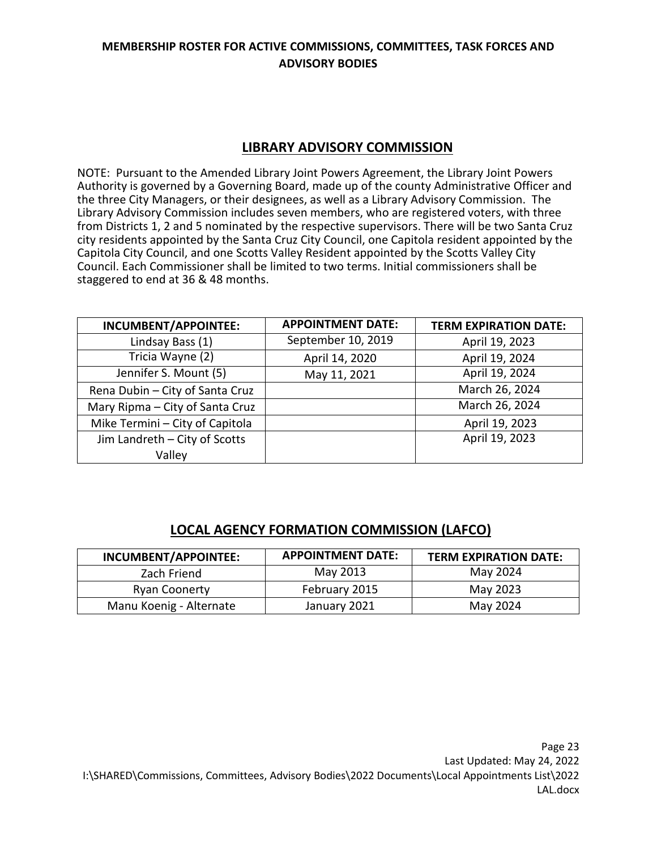# **LIBRARY ADVISORY COMMISSION**

NOTE: Pursuant to the Amended Library Joint Powers Agreement, the Library Joint Powers Authority is governed by a Governing Board, made up of the county Administrative Officer and the three City Managers, or their designees, as well as a Library Advisory Commission. The Library Advisory Commission includes seven members, who are registered voters, with three from Districts 1, 2 and 5 nominated by the respective supervisors. There will be two Santa Cruz city residents appointed by the Santa Cruz City Council, one Capitola resident appointed by the Capitola City Council, and one Scotts Valley Resident appointed by the Scotts Valley City Council. Each Commissioner shall be limited to two terms. Initial commissioners shall be staggered to end at 36 & 48 months.

| INCUMBENT/APPOINTEE:            | <b>APPOINTMENT DATE:</b> | <b>TERM EXPIRATION DATE:</b> |
|---------------------------------|--------------------------|------------------------------|
| Lindsay Bass (1)                | September 10, 2019       | April 19, 2023               |
| Tricia Wayne (2)                | April 14, 2020           | April 19, 2024               |
| Jennifer S. Mount (5)           | May 11, 2021             | April 19, 2024               |
| Rena Dubin - City of Santa Cruz |                          | March 26, 2024               |
| Mary Ripma - City of Santa Cruz |                          | March 26, 2024               |
| Mike Termini - City of Capitola |                          | April 19, 2023               |
| Jim Landreth - City of Scotts   |                          | April 19, 2023               |
| Valley                          |                          |                              |

# **LOCAL AGENCY FORMATION COMMISSION (LAFCO)**

| <b>INCUMBENT/APPOINTEE:</b> | <b>APPOINTMENT DATE:</b> | <b>TERM EXPIRATION DATE:</b> |
|-----------------------------|--------------------------|------------------------------|
| Zach Friend                 | May 2013                 | May 2024                     |
| <b>Ryan Coonerty</b>        | February 2015            | May 2023                     |
| Manu Koenig - Alternate     | January 2021             | May 2024                     |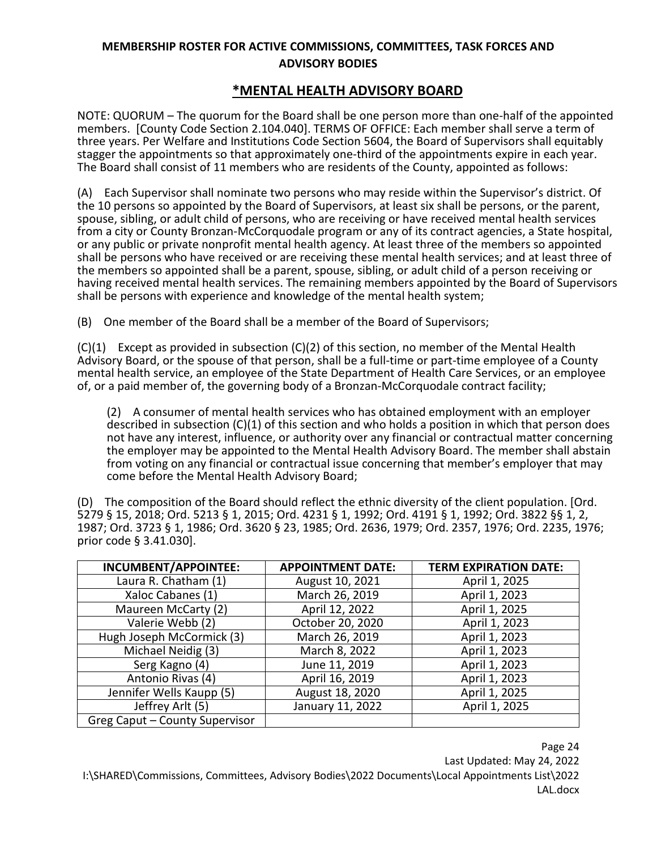# **\*MENTAL HEALTH ADVISORY BOARD**

NOTE: QUORUM – The quorum for the Board shall be one person more than one-half of the appointed members. [County Code Section 2.104.040]. TERMS OF OFFICE: Each member shall serve a term of three years. Per Welfare and Institutions Code Section 5604, the Board of Supervisors shall equitably stagger the appointments so that approximately one-third of the appointments expire in each year. The Board shall consist of 11 members who are residents of the County, appointed as follows:

(A) Each Supervisor shall nominate two persons who may reside within the Supervisor's district. Of the 10 persons so appointed by the Board of Supervisors, at least six shall be persons, or the parent, spouse, sibling, or adult child of persons, who are receiving or have received mental health services from a city or County Bronzan-McCorquodale program or any of its contract agencies, a State hospital, or any public or private nonprofit mental health agency. At least three of the members so appointed shall be persons who have received or are receiving these mental health services; and at least three of the members so appointed shall be a parent, spouse, sibling, or adult child of a person receiving or having received mental health services. The remaining members appointed by the Board of Supervisors shall be persons with experience and knowledge of the mental health system;

(B) One member of the Board shall be a member of the Board of Supervisors;

 $(C)(1)$  Except as provided in subsection  $(C)(2)$  of this section, no member of the Mental Health Advisory Board, or the spouse of that person, shall be a full-time or part-time employee of a County mental health service, an employee of the State Department of Health Care Services, or an employee of, or a paid member of, the governing body of a Bronzan-McCorquodale contract facility;

(2) A consumer of mental health services who has obtained employment with an employer described in subsection (C)(1) of this section and who holds a position in which that person does not have any interest, influence, or authority over any financial or contractual matter concerning the employer may be appointed to the Mental Health Advisory Board. The member shall abstain from voting on any financial or contractual issue concerning that member's employer that may come before the Mental Health Advisory Board;

(D) The composition of the Board should reflect the ethnic diversity of the client population. [Ord. 5279 § 15, 2018; Ord. 5213 § 1, 2015; Ord. 4231 § 1, 1992; Ord. 4191 § 1, 1992; Ord. 3822 §§ 1, 2, 1987; Ord. 3723 § 1, 1986; Ord. 3620 § 23, 1985; Ord. 2636, 1979; Ord. 2357, 1976; Ord. 2235, 1976; prior code § 3.41.030].

| INCUMBENT/APPOINTEE:           | <b>APPOINTMENT DATE:</b> | <b>TERM EXPIRATION DATE:</b> |
|--------------------------------|--------------------------|------------------------------|
| Laura R. Chatham (1)           | August 10, 2021          | April 1, 2025                |
| Xaloc Cabanes (1)              | March 26, 2019           | April 1, 2023                |
| Maureen McCarty (2)            | April 12, 2022           | April 1, 2025                |
| Valerie Webb (2)               | October 20, 2020         | April 1, 2023                |
| Hugh Joseph McCormick (3)      | March 26, 2019           | April 1, 2023                |
| Michael Neidig (3)             | March 8, 2022            | April 1, 2023                |
| Serg Kagno (4)                 | June 11, 2019            | April 1, 2023                |
| Antonio Rivas (4)              | April 16, 2019           | April 1, 2023                |
| Jennifer Wells Kaupp (5)       | August 18, 2020          | April 1, 2025                |
| Jeffrey Arlt (5)               | January 11, 2022         | April 1, 2025                |
| Greg Caput - County Supervisor |                          |                              |

Page 24 Last Updated: May 24, 2022 I:\SHARED\Commissions, Committees, Advisory Bodies\2022 Documents\Local Appointments List\2022 LAL.docx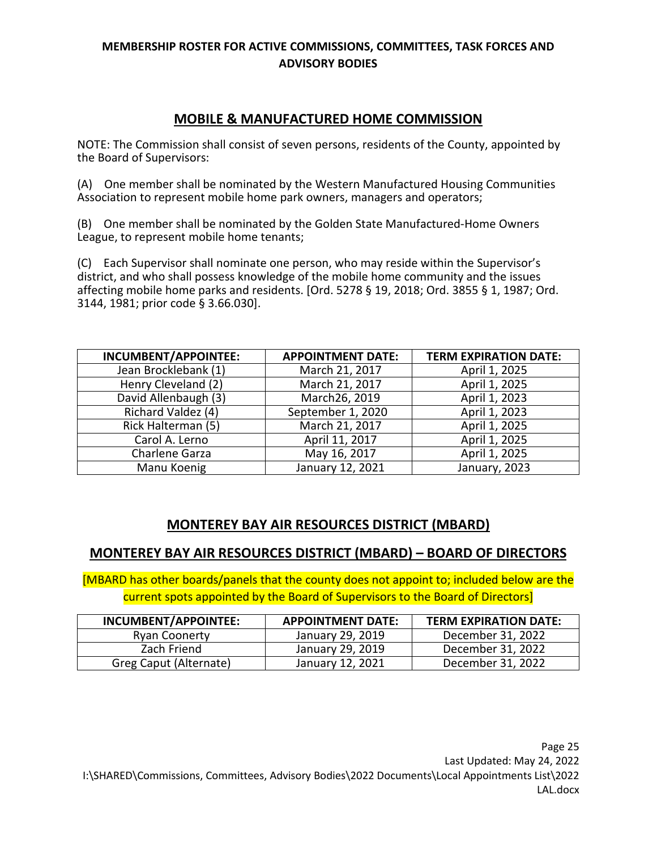# **MOBILE & MANUFACTURED HOME COMMISSION**

NOTE: The Commission shall consist of seven persons, residents of the County, appointed by the Board of Supervisors:

(A) One member shall be nominated by the Western Manufactured Housing Communities Association to represent mobile home park owners, managers and operators;

(B) One member shall be nominated by the Golden State Manufactured-Home Owners League, to represent mobile home tenants;

(C) Each Supervisor shall nominate one person, who may reside within the Supervisor's district, and who shall possess knowledge of the mobile home community and the issues affecting mobile home parks and residents. [Ord. 5278 § 19, 2018; Ord. 3855 § 1, 1987; Ord. 3144, 1981; prior code § 3.66.030].

| <b>INCUMBENT/APPOINTEE:</b> | <b>APPOINTMENT DATE:</b> | <b>TERM EXPIRATION DATE:</b> |
|-----------------------------|--------------------------|------------------------------|
| Jean Brocklebank (1)        | March 21, 2017           | April 1, 2025                |
| Henry Cleveland (2)         | March 21, 2017           | April 1, 2025                |
| David Allenbaugh (3)        | March26, 2019            | April 1, 2023                |
| Richard Valdez (4)          | September 1, 2020        | April 1, 2023                |
| Rick Halterman (5)          | March 21, 2017           | April 1, 2025                |
| Carol A. Lerno              | April 11, 2017           | April 1, 2025                |
| Charlene Garza              | May 16, 2017             | April 1, 2025                |
| Manu Koenig                 | January 12, 2021         | January, 2023                |

# **MONTEREY BAY AIR RESOURCES DISTRICT (MBARD)**

# **MONTEREY BAY AIR RESOURCES DISTRICT (MBARD) – BOARD OF DIRECTORS**

[MBARD has other boards/panels that the county does not appoint to; included below are the current spots appointed by the Board of Supervisors to the Board of Directors]

| INCUMBENT/APPOINTEE:   | <b>APPOINTMENT DATE:</b> | <b>TERM EXPIRATION DATE:</b> |
|------------------------|--------------------------|------------------------------|
| Ryan Coonerty          | January 29, 2019         | December 31, 2022            |
| Zach Friend            | January 29, 2019         | December 31, 2022            |
| Greg Caput (Alternate) | January 12, 2021         | December 31, 2022            |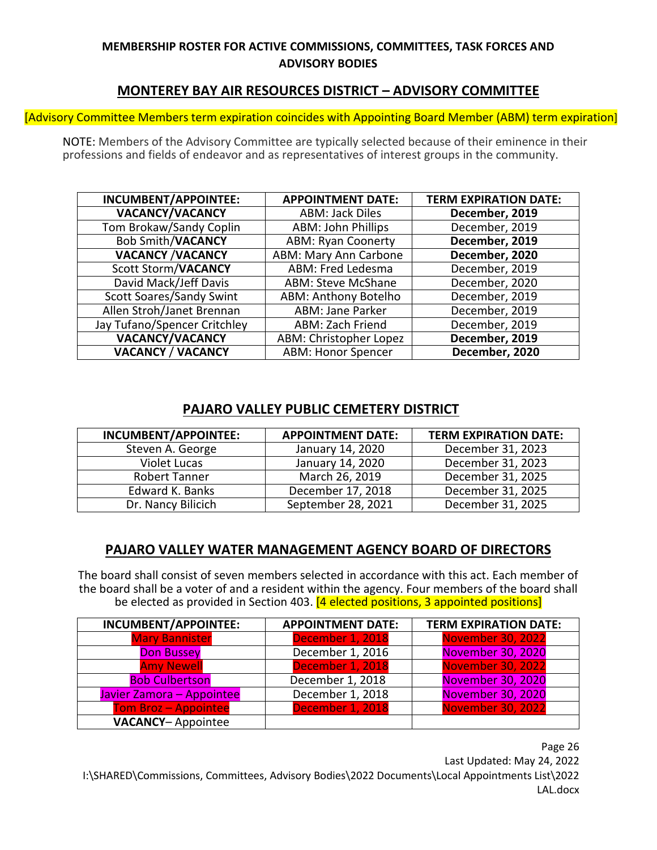# **MONTEREY BAY AIR RESOURCES DISTRICT – ADVISORY COMMITTEE**

[Advisory Committee Members term expiration coincides with Appointing Board Member (ABM) term expiration]

NOTE: Members of the Advisory Committee are typically selected because of their eminence in their professions and fields of endeavor and as representatives of interest groups in the community.

| INCUMBENT/APPOINTEE:            | <b>APPOINTMENT DATE:</b>     | <b>TERM EXPIRATION DATE:</b> |
|---------------------------------|------------------------------|------------------------------|
| <b>VACANCY/VACANCY</b>          | <b>ABM: Jack Diles</b>       | December, 2019               |
| Tom Brokaw/Sandy Coplin         | <b>ABM: John Phillips</b>    | December, 2019               |
| <b>Bob Smith/VACANCY</b>        | <b>ABM: Ryan Coonerty</b>    | December, 2019               |
| <b>VACANCY /VACANCY</b>         | <b>ABM: Mary Ann Carbone</b> | December, 2020               |
| <b>Scott Storm/VACANCY</b>      | ABM: Fred Ledesma            | December, 2019               |
| David Mack/Jeff Davis           | <b>ABM: Steve McShane</b>    | December, 2020               |
| <b>Scott Soares/Sandy Swint</b> | <b>ABM: Anthony Botelho</b>  | December, 2019               |
| Allen Stroh/Janet Brennan       | <b>ABM: Jane Parker</b>      | December, 2019               |
| Jay Tufano/Spencer Critchley    | <b>ABM: Zach Friend</b>      | December, 2019               |
| <b>VACANCY/VACANCY</b>          | ABM: Christopher Lopez       | December, 2019               |
| <b>VACANCY / VACANCY</b>        | <b>ABM: Honor Spencer</b>    | December, 2020               |

# **PAJARO VALLEY PUBLIC CEMETERY DISTRICT**

| INCUMBENT/APPOINTEE: | <b>APPOINTMENT DATE:</b> | <b>TERM EXPIRATION DATE:</b> |
|----------------------|--------------------------|------------------------------|
| Steven A. George     | January 14, 2020         | December 31, 2023            |
| <b>Violet Lucas</b>  | January 14, 2020         | December 31, 2023            |
| <b>Robert Tanner</b> | March 26, 2019           | December 31, 2025            |
| Edward K. Banks      | December 17, 2018        | December 31, 2025            |
| Dr. Nancy Bilicich   | September 28, 2021       | December 31, 2025            |

# **PAJARO VALLEY WATER MANAGEMENT AGENCY BOARD OF DIRECTORS**

The board shall consist of seven members selected in accordance with this act. Each member of the board shall be a voter of and a resident within the agency. Four members of the board shall be elected as provided in Section 403. [4 elected positions, 3 appointed positions]

| <b>INCUMBENT/APPOINTEE:</b> | <b>APPOINTMENT DATE:</b> | <b>TERM EXPIRATION DATE:</b> |
|-----------------------------|--------------------------|------------------------------|
| <b>Mary Bannister</b>       | December 1, 2018         | <b>November 30, 2022</b>     |
| <b>Don Bussey</b>           | December 1, 2016         | <b>November 30, 2020</b>     |
| <b>Amy Newell</b>           | December 1, 2018         | November 30, 2022            |
| <b>Bob Culbertson</b>       | December 1, 2018         | November 30, 2020            |
| Javier Zamora - Appointee   | December 1, 2018         | November 30, 2020            |
| <b>Tom Broz - Appointee</b> | December 1, 2018         | <b>November 30, 2022</b>     |
| <b>VACANCY-Appointee</b>    |                          |                              |

Page 26 Last Updated: May 24, 2022 I:\SHARED\Commissions, Committees, Advisory Bodies\2022 Documents\Local Appointments List\2022 LAL.docx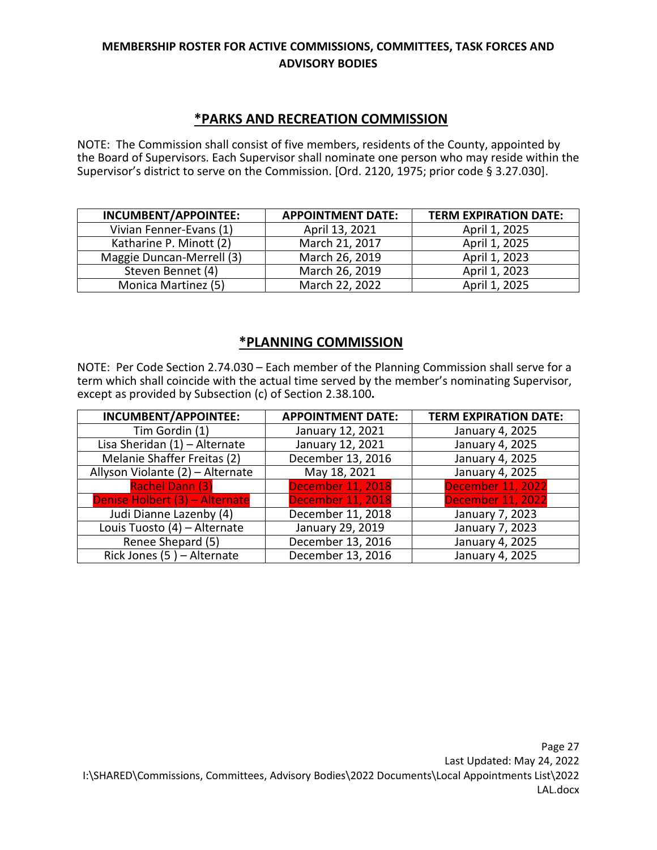# **\*PARKS AND RECREATION COMMISSION**

NOTE: The Commission shall consist of five members, residents of the County, appointed by the Board of Supervisors. Each Supervisor shall nominate one person who may reside within the Supervisor's district to serve on the Commission. [Ord. 2120, 1975; prior code § 3.27.030].

| INCUMBENT/APPOINTEE:      | <b>APPOINTMENT DATE:</b> | <b>TERM EXPIRATION DATE:</b> |
|---------------------------|--------------------------|------------------------------|
| Vivian Fenner-Evans (1)   | April 13, 2021           | April 1, 2025                |
| Katharine P. Minott (2)   | March 21, 2017           | April 1, 2025                |
| Maggie Duncan-Merrell (3) | March 26, 2019           | April 1, 2023                |
| Steven Bennet (4)         | March 26, 2019           | April 1, 2023                |
| Monica Martinez (5)       | March 22, 2022           | April 1, 2025                |

# **\*PLANNING COMMISSION**

NOTE: Per Code Section 2.74.030 – Each member of the Planning Commission shall serve for a term which shall coincide with the actual time served by the member's nominating Supervisor, except as provided by Subsection (c) of Section 2.38.100**.** 

| INCUMBENT/APPOINTEE:             | <b>APPOINTMENT DATE:</b> | <b>TERM EXPIRATION DATE:</b> |
|----------------------------------|--------------------------|------------------------------|
| Tim Gordin (1)                   | January 12, 2021         | January 4, 2025              |
| Lisa Sheridan (1) - Alternate    | January 12, 2021         | January 4, 2025              |
| Melanie Shaffer Freitas (2)      | December 13, 2016        | January 4, 2025              |
| Allyson Violante (2) - Alternate | May 18, 2021             | January 4, 2025              |
| <b>Rachel Dann (3)</b>           | <b>December 11, 2018</b> | <b>December 11, 2022</b>     |
| Denise Holbert (3) - Alternate   | <b>December 11, 2018</b> | <b>December 11, 2022</b>     |
| Judi Dianne Lazenby (4)          | December 11, 2018        | January 7, 2023              |
| Louis Tuosto (4) - Alternate     | January 29, 2019         | January 7, 2023              |
| Renee Shepard (5)                | December 13, 2016        | January 4, 2025              |
| Rick Jones (5) - Alternate       | December 13, 2016        | January 4, 2025              |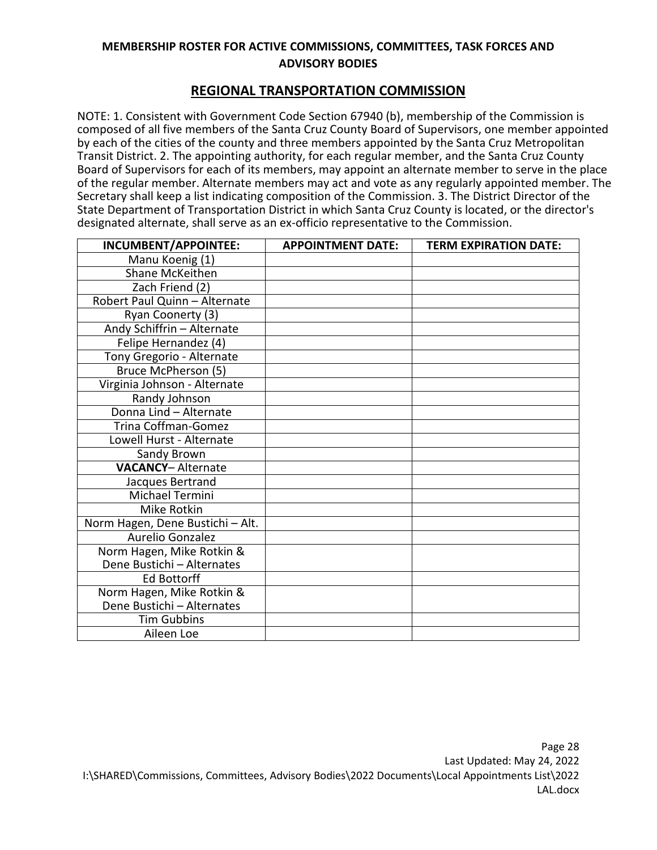#### **REGIONAL TRANSPORTATION COMMISSION**

NOTE: 1. Consistent with Government Code Section 67940 (b), membership of the Commission is composed of all five members of the Santa Cruz County Board of Supervisors, one member appointed by each of the cities of the county and three members appointed by the Santa Cruz Metropolitan Transit District. 2. The appointing authority, for each regular member, and the Santa Cruz County Board of Supervisors for each of its members, may appoint an alternate member to serve in the place of the regular member. Alternate members may act and vote as any regularly appointed member. The Secretary shall keep a list indicating composition of the Commission. 3. The District Director of the State Department of Transportation District in which Santa Cruz County is located, or the director's designated alternate, shall serve as an ex-officio representative to the Commission.

| INCUMBENT/APPOINTEE:             | <b>APPOINTMENT DATE:</b> | <b>TERM EXPIRATION DATE:</b> |
|----------------------------------|--------------------------|------------------------------|
| Manu Koenig (1)                  |                          |                              |
| Shane McKeithen                  |                          |                              |
| Zach Friend (2)                  |                          |                              |
| Robert Paul Quinn - Alternate    |                          |                              |
| Ryan Coonerty (3)                |                          |                              |
| Andy Schiffrin - Alternate       |                          |                              |
| Felipe Hernandez (4)             |                          |                              |
| Tony Gregorio - Alternate        |                          |                              |
| Bruce McPherson (5)              |                          |                              |
| Virginia Johnson - Alternate     |                          |                              |
| Randy Johnson                    |                          |                              |
| Donna Lind - Alternate           |                          |                              |
| <b>Trina Coffman-Gomez</b>       |                          |                              |
| Lowell Hurst - Alternate         |                          |                              |
| Sandy Brown                      |                          |                              |
| <b>VACANCY-Alternate</b>         |                          |                              |
| Jacques Bertrand                 |                          |                              |
| Michael Termini                  |                          |                              |
| Mike Rotkin                      |                          |                              |
| Norm Hagen, Dene Bustichi - Alt. |                          |                              |
| Aurelio Gonzalez                 |                          |                              |
| Norm Hagen, Mike Rotkin &        |                          |                              |
| Dene Bustichi - Alternates       |                          |                              |
| <b>Ed Bottorff</b>               |                          |                              |
| Norm Hagen, Mike Rotkin &        |                          |                              |
| Dene Bustichi - Alternates       |                          |                              |
| <b>Tim Gubbins</b>               |                          |                              |
| Aileen Loe                       |                          |                              |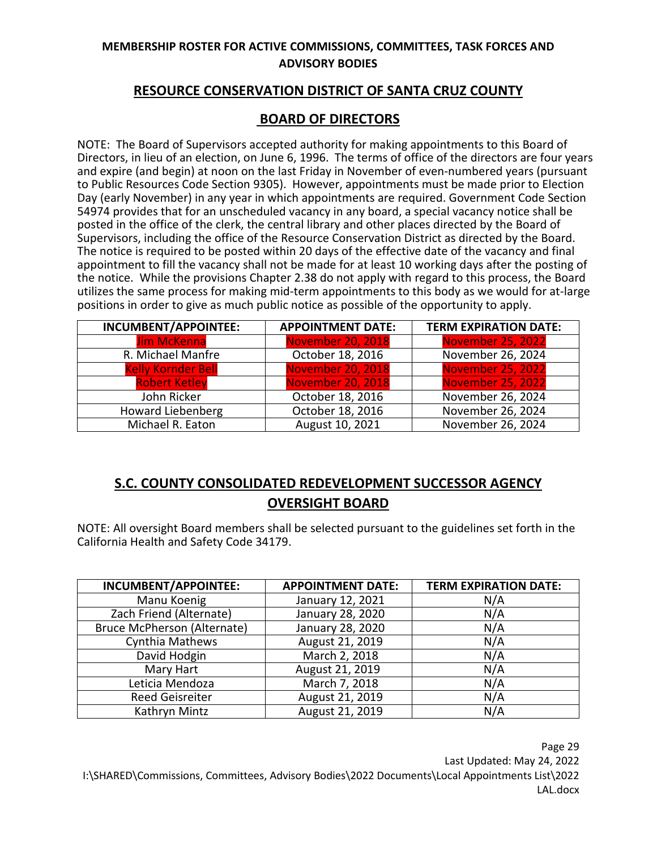# **RESOURCE CONSERVATION DISTRICT OF SANTA CRUZ COUNTY**

# **BOARD OF DIRECTORS**

NOTE: The Board of Supervisors accepted authority for making appointments to this Board of Directors, in lieu of an election, on June 6, 1996. The terms of office of the directors are four years and expire (and begin) at noon on the last Friday in November of even-numbered years (pursuant to Public Resources Code Section 9305). However, appointments must be made prior to Election Day (early November) in any year in which appointments are required. Government Code Section 54974 provides that for an unscheduled vacancy in any board, a special vacancy notice shall be posted in the office of the clerk, the central library and other places directed by the Board of Supervisors, including the office of the Resource Conservation District as directed by the Board. The notice is required to be posted within 20 days of the effective date of the vacancy and final appointment to fill the vacancy shall not be made for at least 10 working days after the posting of the notice. While the provisions Chapter 2.38 do not apply with regard to this process, the Board utilizes the same process for making mid-term appointments to this body as we would for at-large positions in order to give as much public notice as possible of the opportunity to apply.

| <b>INCUMBENT/APPOINTEE:</b> | <b>APPOINTMENT DATE:</b> | <b>TERM EXPIRATION DATE:</b> |
|-----------------------------|--------------------------|------------------------------|
| <b>Jim McKenna</b>          | <b>November 20, 2018</b> | <b>November 25, 2022</b>     |
| R. Michael Manfre           | October 18, 2016         | November 26, 2024            |
| <b>Kelly Kornder Bell</b>   | <b>November 20, 2018</b> | <b>November 25, 2022</b>     |
| <b>Robert Ketley</b>        | <b>November 20, 2018</b> | <b>November 25, 2022</b>     |
| John Ricker                 | October 18, 2016         | November 26, 2024            |
| <b>Howard Liebenberg</b>    | October 18, 2016         | November 26, 2024            |
| Michael R. Eaton            | August 10, 2021          | November 26, 2024            |

# **S.C. COUNTY CONSOLIDATED REDEVELOPMENT SUCCESSOR AGENCY OVERSIGHT BOARD**

NOTE: All oversight Board members shall be selected pursuant to the guidelines set forth in the California Health and Safety Code 34179.

| <b>INCUMBENT/APPOINTEE:</b> | <b>APPOINTMENT DATE:</b> | <b>TERM EXPIRATION DATE:</b> |
|-----------------------------|--------------------------|------------------------------|
| Manu Koenig                 | January 12, 2021         | N/A                          |
| Zach Friend (Alternate)     | January 28, 2020         | N/A                          |
| Bruce McPherson (Alternate) | January 28, 2020         | N/A                          |
| Cynthia Mathews             | August 21, 2019          | N/A                          |
| David Hodgin                | March 2, 2018            | N/A                          |
| Mary Hart                   | August 21, 2019          | N/A                          |
| Leticia Mendoza             | March 7, 2018            | N/A                          |
| <b>Reed Geisreiter</b>      | August 21, 2019          | N/A                          |
| Kathryn Mintz               | August 21, 2019          | N/A                          |

Page 29 Last Updated: May 24, 2022 I:\SHARED\Commissions, Committees, Advisory Bodies\2022 Documents\Local Appointments List\2022 LAL.docx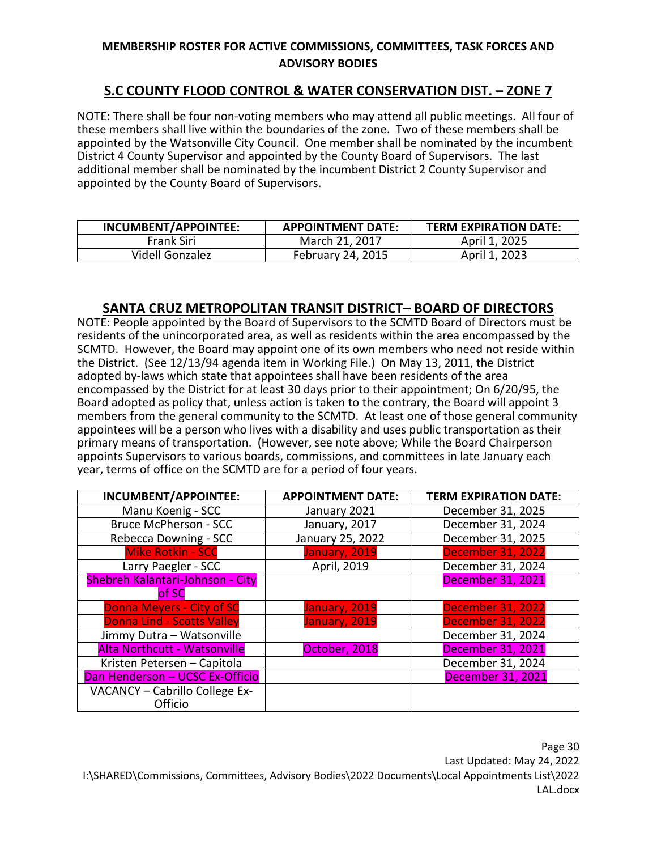# **S.C COUNTY FLOOD CONTROL & WATER CONSERVATION DIST. – ZONE 7**

NOTE: There shall be four non-voting members who may attend all public meetings. All four of these members shall live within the boundaries of the zone. Two of these members shall be appointed by the Watsonville City Council. One member shall be nominated by the incumbent District 4 County Supervisor and appointed by the County Board of Supervisors. The last additional member shall be nominated by the incumbent District 2 County Supervisor and appointed by the County Board of Supervisors.

| INCUMBENT/APPOINTEE: | <b>APPOINTMENT DATE:</b> | <b>TERM EXPIRATION DATE:</b> |
|----------------------|--------------------------|------------------------------|
| Frank Siri           | March 21, 2017           | April 1, 2025                |
| Videll Gonzalez      | February 24, 2015        | April 1, 2023                |

#### **SANTA CRUZ METROPOLITAN TRANSIT DISTRICT– BOARD OF DIRECTORS**

NOTE: People appointed by the Board of Supervisors to the SCMTD Board of Directors must be residents of the unincorporated area, as well as residents within the area encompassed by the SCMTD. However, the Board may appoint one of its own members who need not reside within the District. (See 12/13/94 agenda item in Working File.) On May 13, 2011, the District adopted by-laws which state that appointees shall have been residents of the area encompassed by the District for at least 30 days prior to their appointment; On 6/20/95, the Board adopted as policy that, unless action is taken to the contrary, the Board will appoint 3 members from the general community to the SCMTD. At least one of those general community appointees will be a person who lives with a disability and uses public transportation as their primary means of transportation. (However, see note above; While the Board Chairperson appoints Supervisors to various boards, commissions, and committees in late January each year, terms of office on the SCMTD are for a period of four years.

| INCUMBENT/APPOINTEE:                | <b>APPOINTMENT DATE:</b> | <b>TERM EXPIRATION DATE:</b> |
|-------------------------------------|--------------------------|------------------------------|
| Manu Koenig - SCC                   | January 2021             | December 31, 2025            |
| Bruce McPherson - SCC               | January, 2017            | December 31, 2024            |
| Rebecca Downing - SCC               | January 25, 2022         | December 31, 2025            |
| <b>Mike Rotkin - SCC</b>            | January, 2019            | <b>December 31, 2022</b>     |
| Larry Paegler - SCC                 | April, 2019              | December 31, 2024            |
| Shebreh Kalantari-Johnson - City    |                          | <b>December 31, 2021</b>     |
| of SC                               |                          |                              |
| <b>Donna Meyers - City of SC</b>    | January, 2019            | <b>December 31, 2022</b>     |
| <b>Donna Lind - Scotts Valley</b>   | January, 2019            | <b>December 31, 2022</b>     |
| Jimmy Dutra - Watsonville           |                          | December 31, 2024            |
| <b>Alta Northcutt - Watsonville</b> | October, 2018            | <b>December 31, 2021</b>     |
| Kristen Petersen - Capitola         |                          | December 31, 2024            |
| Dan Henderson - UCSC Ex-Officio     |                          | <b>December 31, 2021</b>     |
| VACANCY - Cabrillo College Ex-      |                          |                              |
| Officio                             |                          |                              |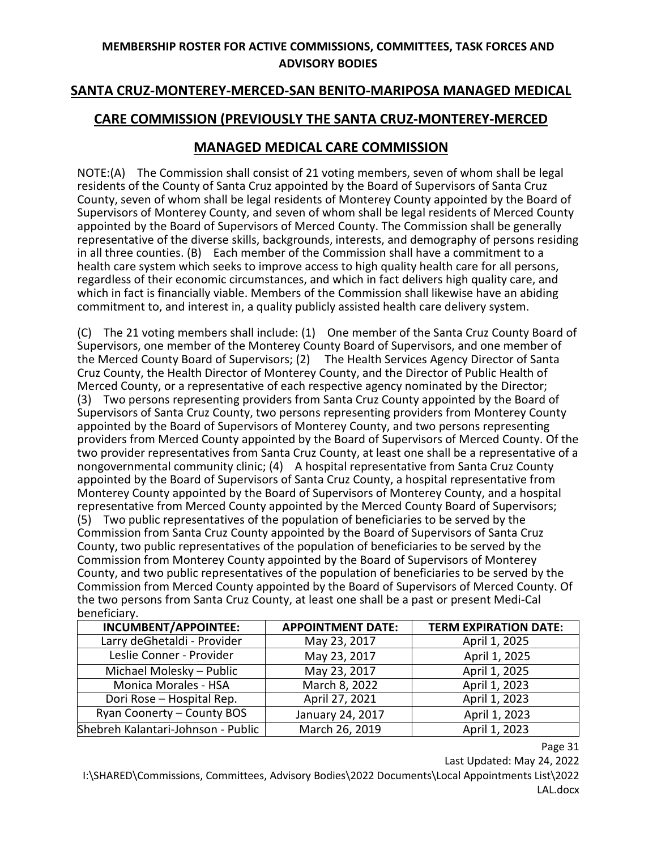# **SANTA CRUZ-MONTEREY-MERCED-SAN BENITO-MARIPOSA MANAGED MEDICAL**

# **CARE COMMISSION (PREVIOUSLY THE SANTA CRUZ-MONTEREY-MERCED**

# **MANAGED MEDICAL CARE COMMISSION**

NOTE:(A) The Commission shall consist of 21 voting members, seven of whom shall be legal residents of the County of Santa Cruz appointed by the Board of Supervisors of Santa Cruz County, seven of whom shall be legal residents of Monterey County appointed by the Board of Supervisors of Monterey County, and seven of whom shall be legal residents of Merced County appointed by the Board of Supervisors of Merced County. The Commission shall be generally representative of the diverse skills, backgrounds, interests, and demography of persons residing in all three counties. (B) Each member of the Commission shall have a commitment to a health care system which seeks to improve access to high quality health care for all persons, regardless of their economic circumstances, and which in fact delivers high quality care, and which in fact is financially viable. Members of the Commission shall likewise have an abiding commitment to, and interest in, a quality publicly assisted health care delivery system.

(C) The 21 voting members shall include: (1) One member of the Santa Cruz County Board of Supervisors, one member of the Monterey County Board of Supervisors, and one member of the Merced County Board of Supervisors; (2) The Health Services Agency Director of Santa Cruz County, the Health Director of Monterey County, and the Director of Public Health of Merced County, or a representative of each respective agency nominated by the Director; (3) Two persons representing providers from Santa Cruz County appointed by the Board of Supervisors of Santa Cruz County, two persons representing providers from Monterey County appointed by the Board of Supervisors of Monterey County, and two persons representing providers from Merced County appointed by the Board of Supervisors of Merced County. Of the two provider representatives from Santa Cruz County, at least one shall be a representative of a nongovernmental community clinic; (4) A hospital representative from Santa Cruz County appointed by the Board of Supervisors of Santa Cruz County, a hospital representative from Monterey County appointed by the Board of Supervisors of Monterey County, and a hospital representative from Merced County appointed by the Merced County Board of Supervisors; (5) Two public representatives of the population of beneficiaries to be served by the Commission from Santa Cruz County appointed by the Board of Supervisors of Santa Cruz

County, two public representatives of the population of beneficiaries to be served by the Commission from Monterey County appointed by the Board of Supervisors of Monterey County, and two public representatives of the population of beneficiaries to be served by the Commission from Merced County appointed by the Board of Supervisors of Merced County. Of the two persons from Santa Cruz County, at least one shall be a past or present Medi-Cal beneficiary.

| <b>INCUMBENT/APPOINTEE:</b>        | <b>APPOINTMENT DATE:</b> | <b>TERM EXPIRATION DATE:</b> |
|------------------------------------|--------------------------|------------------------------|
| Larry deGhetaldi - Provider        | May 23, 2017             | April 1, 2025                |
| Leslie Conner - Provider           | May 23, 2017             | April 1, 2025                |
| Michael Molesky - Public           | May 23, 2017             | April 1, 2025                |
| <b>Monica Morales - HSA</b>        | March 8, 2022            | April 1, 2023                |
| Dori Rose - Hospital Rep.          | April 27, 2021           | April 1, 2023                |
| Ryan Coonerty - County BOS         | January 24, 2017         | April 1, 2023                |
| Shebreh Kalantari-Johnson - Public | March 26, 2019           | April 1, 2023                |

Page 31

Last Updated: May 24, 2022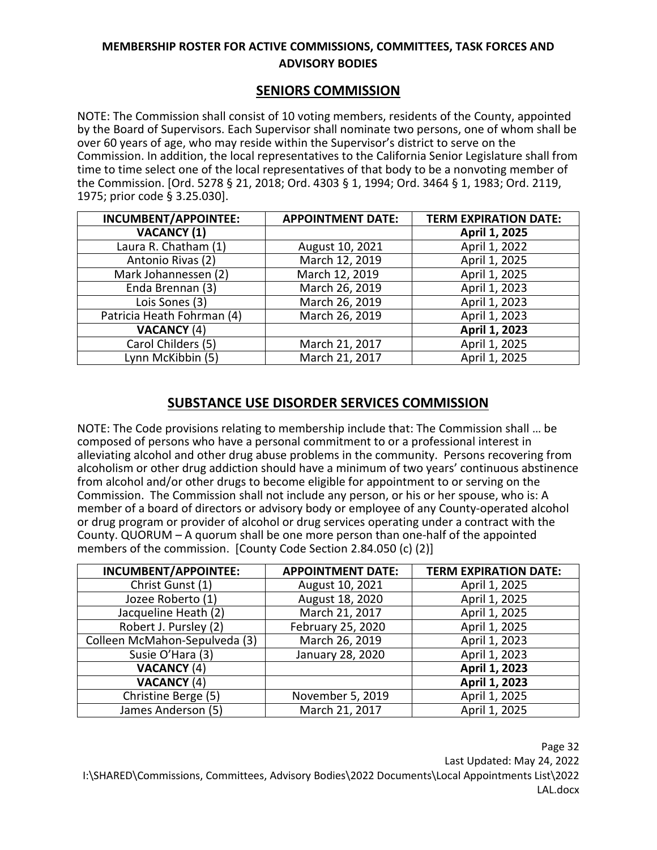#### **SENIORS COMMISSION**

NOTE: The Commission shall consist of 10 voting members, residents of the County, appointed by the Board of Supervisors. Each Supervisor shall nominate two persons, one of whom shall be over 60 years of age, who may reside within the Supervisor's district to serve on the Commission. In addition, the local representatives to the California Senior Legislature shall from time to time select one of the local representatives of that body to be a nonvoting member of the Commission. [Ord. 5278 § 21, 2018; Ord. 4303 § 1, 1994; Ord. 3464 § 1, 1983; Ord. 2119, 1975; prior code § 3.25.030].

| <b>INCUMBENT/APPOINTEE:</b> | <b>APPOINTMENT DATE:</b> | <b>TERM EXPIRATION DATE:</b> |
|-----------------------------|--------------------------|------------------------------|
| <b>VACANCY (1)</b>          |                          | April 1, 2025                |
| Laura R. Chatham (1)        | August 10, 2021          | April 1, 2022                |
| Antonio Rivas (2)           | March 12, 2019           | April 1, 2025                |
| Mark Johannessen (2)        | March 12, 2019           | April 1, 2025                |
| Enda Brennan (3)            | March 26, 2019           | April 1, 2023                |
| Lois Sones (3)              | March 26, 2019           | April 1, 2023                |
| Patricia Heath Fohrman (4)  | March 26, 2019           | April 1, 2023                |
| <b>VACANCY (4)</b>          |                          | April 1, 2023                |
| Carol Childers (5)          | March 21, 2017           | April 1, 2025                |
| Lynn McKibbin (5)           | March 21, 2017           | April 1, 2025                |

# **SUBSTANCE USE DISORDER SERVICES COMMISSION**

NOTE: The Code provisions relating to membership include that: The Commission shall … be composed of persons who have a personal commitment to or a professional interest in alleviating alcohol and other drug abuse problems in the community. Persons recovering from alcoholism or other drug addiction should have a minimum of two years' continuous abstinence from alcohol and/or other drugs to become eligible for appointment to or serving on the Commission. The Commission shall not include any person, or his or her spouse, who is: A member of a board of directors or advisory body or employee of any County-operated alcohol or drug program or provider of alcohol or drug services operating under a contract with the County. QUORUM – A quorum shall be one more person than one-half of the appointed members of the commission. [County Code Section 2.84.050 (c) (2)]

| <b>INCUMBENT/APPOINTEE:</b>   | <b>APPOINTMENT DATE:</b> | <b>TERM EXPIRATION DATE:</b> |
|-------------------------------|--------------------------|------------------------------|
| Christ Gunst (1)              | August 10, 2021          | April 1, 2025                |
| Jozee Roberto (1)             | August 18, 2020          | April 1, 2025                |
| Jacqueline Heath (2)          | March 21, 2017           | April 1, 2025                |
| Robert J. Pursley (2)         | February 25, 2020        | April 1, 2025                |
| Colleen McMahon-Sepulveda (3) | March 26, 2019           | April 1, 2023                |
| Susie O'Hara (3)              | January 28, 2020         | April 1, 2023                |
| <b>VACANCY (4)</b>            |                          | April 1, 2023                |
| <b>VACANCY (4)</b>            |                          | April 1, 2023                |
| Christine Berge (5)           | November 5, 2019         | April 1, 2025                |
| James Anderson (5)            | March 21, 2017           | April 1, 2025                |

Page 32 Last Updated: May 24, 2022 I:\SHARED\Commissions, Committees, Advisory Bodies\2022 Documents\Local Appointments List\2022 LAL.docx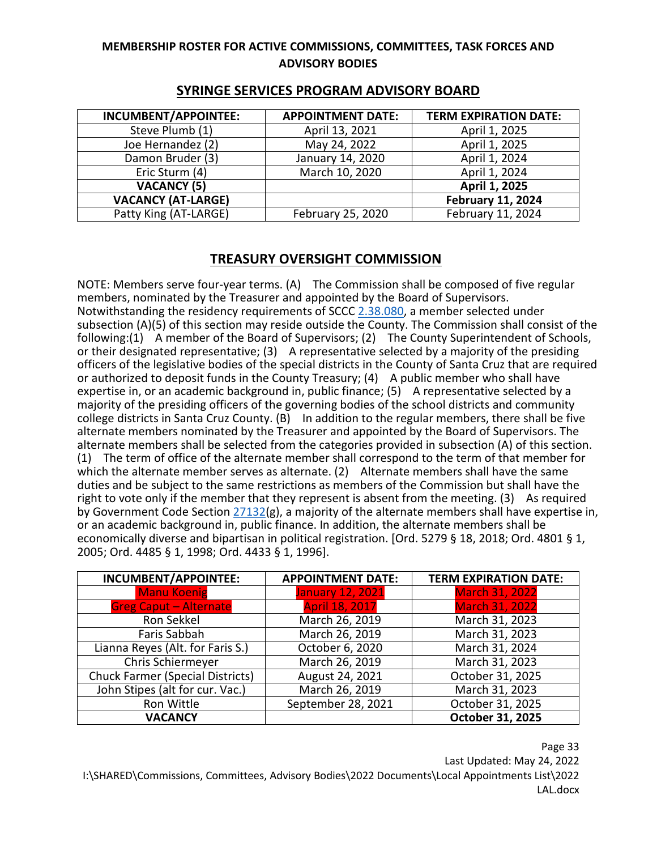| INCUMBENT/APPOINTEE:      | <b>APPOINTMENT DATE:</b> | <b>TERM EXPIRATION DATE:</b> |
|---------------------------|--------------------------|------------------------------|
| Steve Plumb (1)           | April 13, 2021           | April 1, 2025                |
| Joe Hernandez (2)         | May 24, 2022             | April 1, 2025                |
| Damon Bruder (3)          | January 14, 2020         | April 1, 2024                |
| Eric Sturm (4)            | March 10, 2020           | April 1, 2024                |
| <b>VACANCY (5)</b>        |                          | April 1, 2025                |
| <b>VACANCY (AT-LARGE)</b> |                          | <b>February 11, 2024</b>     |
| Patty King (AT-LARGE)     | February 25, 2020        | February 11, 2024            |

# **SYRINGE SERVICES PROGRAM ADVISORY BOARD**

# **TREASURY OVERSIGHT COMMISSION**

NOTE: Members serve four-year terms. (A) The Commission shall be composed of five regular members, nominated by the Treasurer and appointed by the Board of Supervisors. Notwithstanding the residency requirements of SCCC [2.38.080,](https://www.codepublishing.com/CA/SantaCruzCounty/html/SantaCruzCounty02/SantaCruzCounty0238.html#2.38.080) a member selected under subsection (A)(5) of this section may reside outside the County. The Commission shall consist of the following:(1) A member of the Board of Supervisors; (2) The County Superintendent of Schools, or their designated representative; (3) A representative selected by a majority of the presiding officers of the legislative bodies of the special districts in the County of Santa Cruz that are required or authorized to deposit funds in the County Treasury; (4) A public member who shall have expertise in, or an academic background in, public finance; (5) A representative selected by a majority of the presiding officers of the governing bodies of the school districts and community college districts in Santa Cruz County. (B) In addition to the regular members, there shall be five alternate members nominated by the Treasurer and appointed by the Board of Supervisors. The alternate members shall be selected from the categories provided in subsection (A) of this section. (1) The term of office of the alternate member shall correspond to the term of that member for which the alternate member serves as alternate. (2) Alternate members shall have the same duties and be subject to the same restrictions as members of the Commission but shall have the right to vote only if the member that they represent is absent from the meeting. (3) As required by Government Code Section  $27132(g)$  $27132(g)$ , a majority of the alternate members shall have expertise in, or an academic background in, public finance. In addition, the alternate members shall be economically diverse and bipartisan in political registration. [Ord. 5279 § 18, 2018; Ord. 4801 § 1, 2005; Ord. 4485 § 1, 1998; Ord. 4433 § 1, 1996].

| INCUMBENT/APPOINTEE:                    | <b>APPOINTMENT DATE:</b> | <b>TERM EXPIRATION DATE:</b> |
|-----------------------------------------|--------------------------|------------------------------|
| <b>Manu Koenig</b>                      | <b>January 12, 2021</b>  | <b>March 31, 2022</b>        |
| <b>Greg Caput - Alternate</b>           | <b>April 18, 2017</b>    | <b>March 31, 2022</b>        |
| Ron Sekkel                              | March 26, 2019           | March 31, 2023               |
| Faris Sabbah                            | March 26, 2019           | March 31, 2023               |
| Lianna Reyes (Alt. for Faris S.)        | October 6, 2020          | March 31, 2024               |
| Chris Schiermeyer                       | March 26, 2019           | March 31, 2023               |
| <b>Chuck Farmer (Special Districts)</b> | August 24, 2021          | October 31, 2025             |
| John Stipes (alt for cur. Vac.)         | March 26, 2019           | March 31, 2023               |
| Ron Wittle                              | September 28, 2021       | October 31, 2025             |
| <b>VACANCY</b>                          |                          | October 31, 2025             |

Page 33 Last Updated: May 24, 2022 I:\SHARED\Commissions, Committees, Advisory Bodies\2022 Documents\Local Appointments List\2022 LAL.docx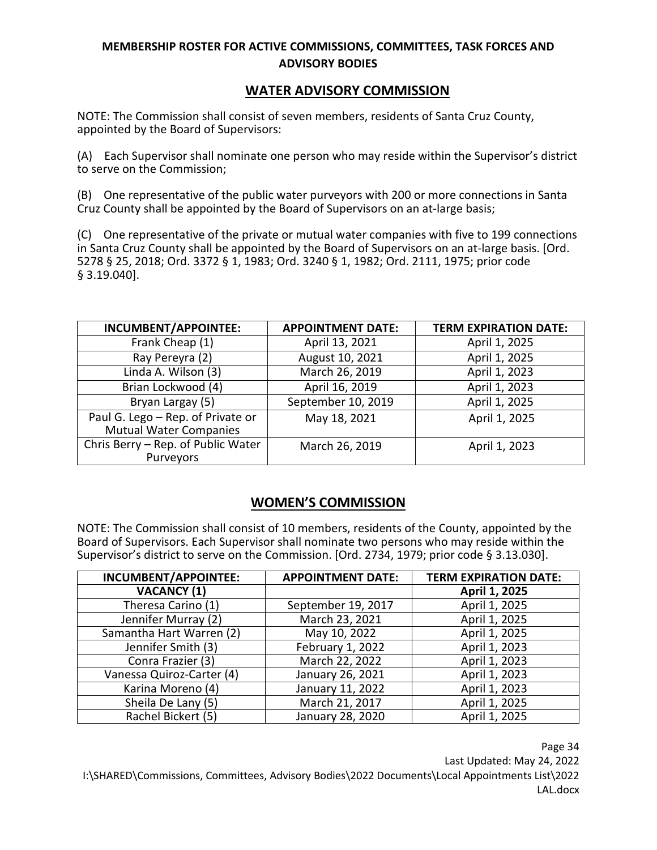#### **WATER ADVISORY COMMISSION**

NOTE: The Commission shall consist of seven members, residents of Santa Cruz County, appointed by the Board of Supervisors:

(A) Each Supervisor shall nominate one person who may reside within the Supervisor's district to serve on the Commission;

(B) One representative of the public water purveyors with 200 or more connections in Santa Cruz County shall be appointed by the Board of Supervisors on an at-large basis;

(C) One representative of the private or mutual water companies with five to 199 connections in Santa Cruz County shall be appointed by the Board of Supervisors on an at-large basis. [Ord. 5278 § 25, 2018; Ord. 3372 § 1, 1983; Ord. 3240 § 1, 1982; Ord. 2111, 1975; prior code § 3.19.040].

| <b>INCUMBENT/APPOINTEE:</b>                                        | <b>APPOINTMENT DATE:</b> | <b>TERM EXPIRATION DATE:</b> |
|--------------------------------------------------------------------|--------------------------|------------------------------|
| Frank Cheap (1)                                                    | April 13, 2021           | April 1, 2025                |
| Ray Pereyra (2)                                                    | August 10, 2021          | April 1, 2025                |
| Linda A. Wilson (3)                                                | March 26, 2019           | April 1, 2023                |
| Brian Lockwood (4)                                                 | April 16, 2019           | April 1, 2023                |
| Bryan Largay (5)                                                   | September 10, 2019       | April 1, 2025                |
| Paul G. Lego - Rep. of Private or<br><b>Mutual Water Companies</b> | May 18, 2021             | April 1, 2025                |
| Chris Berry - Rep. of Public Water<br>Purveyors                    | March 26, 2019           | April 1, 2023                |

# **WOMEN'S COMMISSION**

NOTE: The Commission shall consist of 10 members, residents of the County, appointed by the Board of Supervisors. Each Supervisor shall nominate two persons who may reside within the Supervisor's district to serve on the Commission. [Ord. 2734, 1979; prior code § 3.13.030].

| <b>INCUMBENT/APPOINTEE:</b> | <b>APPOINTMENT DATE:</b> | <b>TERM EXPIRATION DATE:</b> |
|-----------------------------|--------------------------|------------------------------|
| <b>VACANCY (1)</b>          |                          | April 1, 2025                |
| Theresa Carino (1)          | September 19, 2017       | April 1, 2025                |
| Jennifer Murray (2)         | March 23, 2021           | April 1, 2025                |
| Samantha Hart Warren (2)    | May 10, 2022             | April 1, 2025                |
| Jennifer Smith (3)          | February 1, 2022         | April 1, 2023                |
| Conra Frazier (3)           | March 22, 2022           | April 1, 2023                |
| Vanessa Quiroz-Carter (4)   | January 26, 2021         | April 1, 2023                |
| Karina Moreno (4)           | January 11, 2022         | April 1, 2023                |
| Sheila De Lany (5)          | March 21, 2017           | April 1, 2025                |
| Rachel Bickert (5)          | January 28, 2020         | April 1, 2025                |

Page 34 Last Updated: May 24, 2022 I:\SHARED\Commissions, Committees, Advisory Bodies\2022 Documents\Local Appointments List\2022 LAL.docx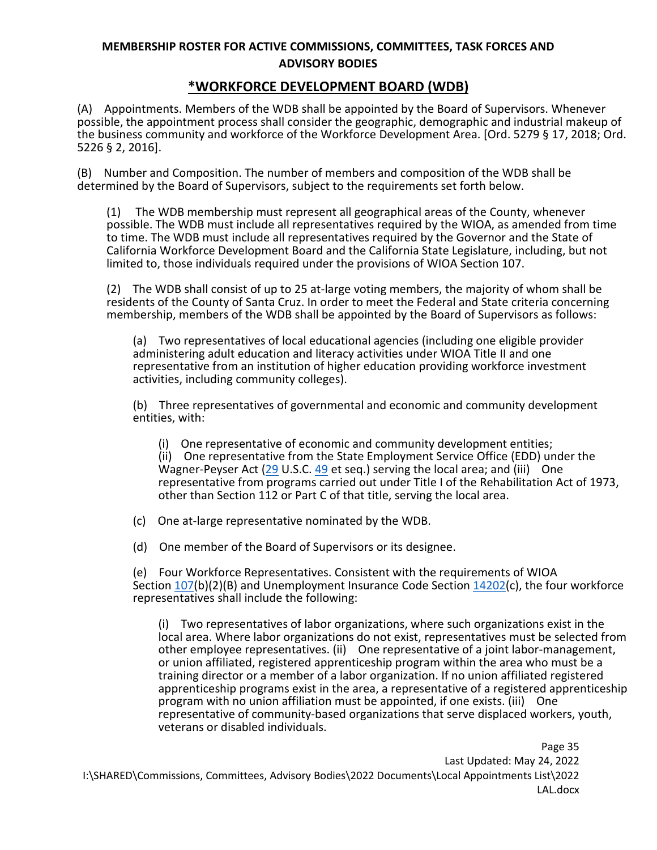#### **\*WORKFORCE DEVELOPMENT BOARD (WDB)**

(A) Appointments. Members of the WDB shall be appointed by the Board of Supervisors. Whenever possible, the appointment process shall consider the geographic, demographic and industrial makeup of the business community and workforce of the Workforce Development Area. [Ord. 5279 § 17, 2018; Ord. 5226 § 2, 2016].

(B) Number and Composition. The number of members and composition of the WDB shall be determined by the Board of Supervisors, subject to the requirements set forth below.

(1) The WDB membership must represent all geographical areas of the County, whenever possible. The WDB must include all representatives required by the WIOA, as amended from time to time. The WDB must include all representatives required by the Governor and the State of California Workforce Development Board and the California State Legislature, including, but not limited to, those individuals required under the provisions of WIOA Section 107.

(2) The WDB shall consist of up to 25 at-large voting members, the majority of whom shall be residents of the County of Santa Cruz. In order to meet the Federal and State criteria concerning membership, members of the WDB shall be appointed by the Board of Supervisors as follows:

(a) Two representatives of local educational agencies (including one eligible provider administering adult education and literacy activities under WIOA Title II and one representative from an institution of higher education providing workforce investment activities, including community colleges).

(b) Three representatives of governmental and economic and community development entities, with:

(i) One representative of economic and community development entities;

(ii) One representative from the State Employment Service Office (EDD) under the Wagner-Peyser Act [\(29](http://www.law.cornell.edu/uscode/text/29) U.S.C. [49](http://www.law.cornell.edu/uscode/text/29/49) et seq.) serving the local area; and (iii) One representative from programs carried out under Title I of the Rehabilitation Act of 1973, other than Section 112 or Part C of that title, serving the local area.

(c) One at-large representative nominated by the WDB.

(d) One member of the Board of Supervisors or its designee.

(e) Four Workforce Representatives. Consistent with the requirements of WIOA Section [107\(](http://leginfo.legislature.ca.gov/faces/codes_displaySection.xhtml?lawCode=INS§ionNum=107)b)(2)(B) and Unemployment Insurance Code Section [14202\(](http://leginfo.legislature.ca.gov/faces/codes_displaySection.xhtml?lawCode=INS§ionNum=14202)c), the four workforce representatives shall include the following:

(i) Two representatives of labor organizations, where such organizations exist in the local area. Where labor organizations do not exist, representatives must be selected from other employee representatives. (ii) One representative of a joint labor-management, or union affiliated, registered apprenticeship program within the area who must be a training director or a member of a labor organization. If no union affiliated registered apprenticeship programs exist in the area, a representative of a registered apprenticeship program with no union affiliation must be appointed, if one exists. (iii) One representative of community-based organizations that serve displaced workers, youth, veterans or disabled individuals.

Page 35 Last Updated: May 24, 2022 I:\SHARED\Commissions, Committees, Advisory Bodies\2022 Documents\Local Appointments List\2022 LAL.docx